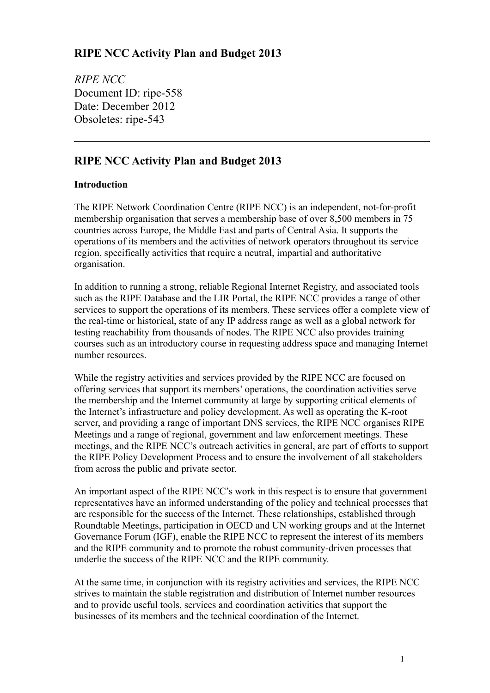## **RIPE NCC Activity Plan and Budget 2013**

*RIPE NCC* Document ID: ripe-558 Date: December 2012 Obsoletes: ripe-543

## **RIPE NCC Activity Plan and Budget 2013**

### **Introduction**

The RIPE Network Coordination Centre (RIPE NCC) is an independent, not-for-profit membership organisation that serves a membership base of over 8,500 members in 75 countries across Europe, the Middle East and parts of Central Asia. It supports the operations of its members and the activities of network operators throughout its service region, specifically activities that require a neutral, impartial and authoritative organisation.

In addition to running a strong, reliable Regional Internet Registry, and associated tools such as the RIPE Database and the LIR Portal, the RIPE NCC provides a range of other services to support the operations of its members. These services offer a complete view of the real-time or historical, state of any IP address range as well as a global network for testing reachability from thousands of nodes. The RIPE NCC also provides training courses such as an introductory course in requesting address space and managing Internet number resources.

While the registry activities and services provided by the RIPE NCC are focused on offering services that support its members' operations, the coordination activities serve the membership and the Internet community at large by supporting critical elements of the Internet's infrastructure and policy development. As well as operating the K-root server, and providing a range of important DNS services, the RIPE NCC organises RIPE Meetings and a range of regional, government and law enforcement meetings. These meetings, and the RIPE NCC's outreach activities in general, are part of efforts to support the RIPE Policy Development Process and to ensure the involvement of all stakeholders from across the public and private sector.

An important aspect of the RIPE NCC's work in this respect is to ensure that government representatives have an informed understanding of the policy and technical processes that are responsible for the success of the Internet. These relationships, established through Roundtable Meetings, participation in OECD and UN working groups and at the Internet Governance Forum (IGF), enable the RIPE NCC to represent the interest of its members and the RIPE community and to promote the robust community-driven processes that underlie the success of the RIPE NCC and the RIPE community.

At the same time, in conjunction with its registry activities and services, the RIPE NCC strives to maintain the stable registration and distribution of Internet number resources and to provide useful tools, services and coordination activities that support the businesses of its members and the technical coordination of the Internet.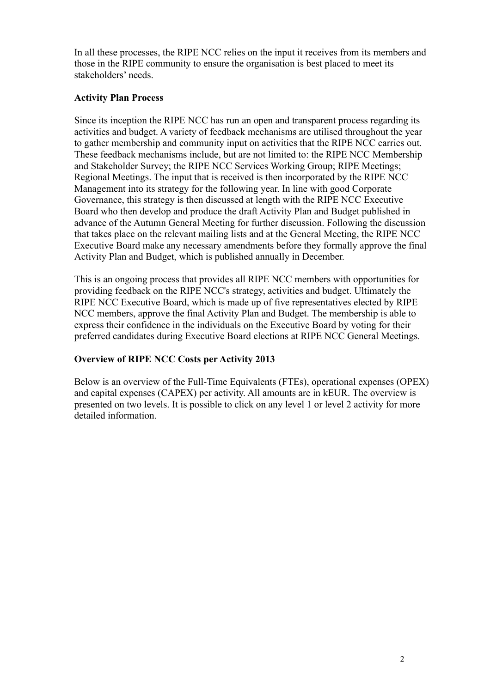In all these processes, the RIPE NCC relies on the input it receives from its members and those in the RIPE community to ensure the organisation is best placed to meet its stakeholders' needs.

#### **Activity Plan Process**

Since its inception the RIPE NCC has run an open and transparent process regarding its activities and budget. A variety of feedback mechanisms are utilised throughout the year to gather membership and community input on activities that the RIPE NCC carries out. These feedback mechanisms include, but are not limited to: the RIPE NCC Membership and Stakeholder Survey; the RIPE NCC Services Working Group; RIPE Meetings; Regional Meetings. The input that is received is then incorporated by the RIPE NCC Management into its strategy for the following year. In line with good Corporate Governance, this strategy is then discussed at length with the RIPE NCC Executive Board who then develop and produce the draft Activity Plan and Budget published in advance of the Autumn General Meeting for further discussion. Following the discussion that takes place on the relevant mailing lists and at the General Meeting, the RIPE NCC Executive Board make any necessary amendments before they formally approve the final Activity Plan and Budget, which is published annually in December.

This is an ongoing process that provides all RIPE NCC members with opportunities for providing feedback on the RIPE NCC's strategy, activities and budget. Ultimately the RIPE NCC Executive Board, which is made up of five representatives elected by RIPE NCC members, approve the final Activity Plan and Budget. The membership is able to express their confidence in the individuals on the Executive Board by voting for their preferred candidates during Executive Board elections at RIPE NCC General Meetings.

### **Overview of RIPE NCC Costs per Activity 2013**

Below is an overview of the Full-Time Equivalents (FTEs), operational expenses (OPEX) and capital expenses (CAPEX) per activity. All amounts are in kEUR. The overview is presented on two levels. It is possible to click on any level 1 or level 2 activity for more detailed information.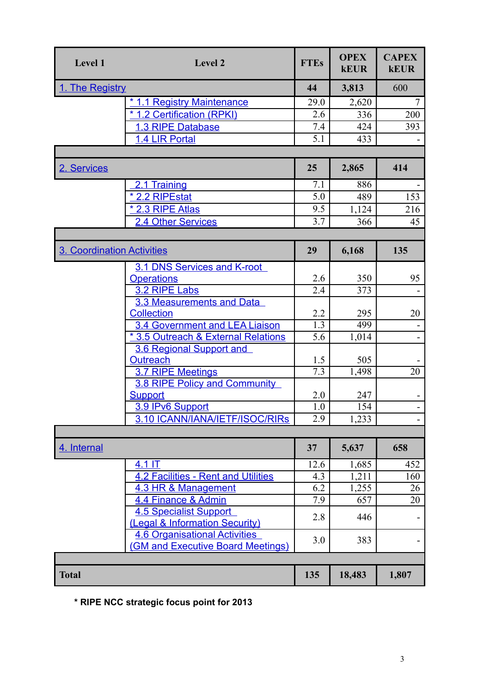| Level 1                           | Level 2                                                           | <b>FTEs</b> | <b>OPEX</b><br><b>kEUR</b> | <b>CAPEX</b><br><b>kEUR</b> |
|-----------------------------------|-------------------------------------------------------------------|-------------|----------------------------|-----------------------------|
| 1. The Registry                   |                                                                   | 44          | 3,813                      | 600                         |
|                                   | <u>* 1.1 Registry Maintenance</u>                                 | 29.0        | 2,620                      | 7                           |
|                                   | * 1.2 Certification (RPKI)                                        | 2.6         | 336                        | 200                         |
|                                   | 1.3 RIPE Database                                                 | 7.4         | 424                        | 393                         |
|                                   | 1.4 LIR Portal                                                    | 5.1         | 433                        |                             |
|                                   |                                                                   |             |                            |                             |
| 2. Services                       |                                                                   | 25          | 2,865                      | 414                         |
|                                   | 2.1 Training                                                      | 7.1         | 886                        |                             |
|                                   | * 2.2 RIPEstat                                                    | 5.0         | 489                        | 153                         |
|                                   | <u>* 2.3 RIPE Atlas</u>                                           | 9.5         | 1,124                      | 216                         |
|                                   | 2.4 Other Services                                                | 3.7         | 366                        | 45                          |
|                                   |                                                                   |             |                            |                             |
| <b>3. Coordination Activities</b> |                                                                   | 29          | 6,168                      | 135                         |
|                                   | 3.1 DNS Services and K-root                                       |             |                            |                             |
|                                   | <b>Operations</b>                                                 | 2.6         | 350                        | 95                          |
|                                   | 3.2 RIPE Labs                                                     | 2.4         | 373                        |                             |
|                                   | 3.3 Measurements and Data                                         |             |                            |                             |
|                                   | <b>Collection</b>                                                 | 2.2         | 295                        | 20                          |
|                                   | 3.4 Government and LEA Liaison                                    | 1.3         | 499                        |                             |
|                                   | * 3.5 Outreach & External Relations                               | 5.6         | 1,014                      |                             |
|                                   | 3.6 Regional Support and                                          |             |                            |                             |
|                                   | <b>Outreach</b>                                                   | 1.5         | 505                        |                             |
|                                   | 3.7 RIPE Meetings                                                 | 7.3         | 1,498                      | 20                          |
|                                   | 3.8 RIPE Policy and Community                                     |             |                            |                             |
|                                   | <b>Support</b>                                                    | 2.0         | 247                        |                             |
|                                   | 3.9 IPv6 Support                                                  | 1.0         | 154                        |                             |
|                                   | 3.10 ICANN/IANA/IETF/ISOC/RIRS                                    | 2.9         | 1,233                      |                             |
| 4. Internal                       |                                                                   | 37          | 5,637                      | 658                         |
|                                   | 4.1 IT                                                            |             |                            |                             |
|                                   |                                                                   | 12.6<br>4.3 | 1,685                      | 452<br>160                  |
|                                   | <b>4.2 Facilities - Rent and Utilities</b><br>4.3 HR & Management | 6.2         | 1,211                      | 26                          |
|                                   |                                                                   | 7.9         | 1,255<br>657               |                             |
|                                   | 4.4 Finance & Admin                                               |             |                            | 20                          |
|                                   | <b>4.5 Specialist Support</b><br>(Legal & Information Security)   | 2.8         | 446                        |                             |
|                                   | <b>4.6 Organisational Activities</b>                              |             |                            |                             |
|                                   | <b>(GM and Executive Board Meetings)</b>                          | 3.0         | 383                        |                             |
|                                   |                                                                   |             |                            |                             |
| <b>Total</b>                      |                                                                   | 135         | 18,483                     | 1,807                       |

<span id="page-2-0"></span>**\* RIPE NCC strategic focus point for 2013**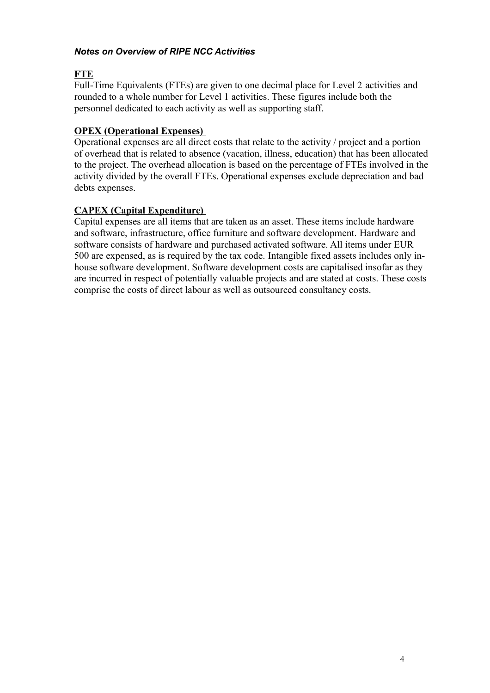#### *Notes on Overview of RIPE NCC Activities*

### **FTE**

Full-Time Equivalents (FTEs) are given to one decimal place for Level 2 activities and rounded to a whole number for Level 1 activities. These figures include both the personnel dedicated to each activity as well as supporting staff.

### **OPEX (Operational Expenses)**

Operational expenses are all direct costs that relate to the activity / project and a portion of overhead that is related to absence (vacation, illness, education) that has been allocated to the project. The overhead allocation is based on the percentage of FTEs involved in the activity divided by the overall FTEs. Operational expenses exclude depreciation and bad debts expenses.

### **CAPEX (Capital Expenditure)**

Capital expenses are all items that are taken as an asset. These items include hardware and software, infrastructure, office furniture and software development. Hardware and software consists of hardware and purchased activated software. All items under EUR 500 are expensed, as is required by the tax code. Intangible fixed assets includes only inhouse software development. Software development costs are capitalised insofar as they are incurred in respect of potentially valuable projects and are stated at costs. These costs comprise the costs of direct labour as well as outsourced consultancy costs.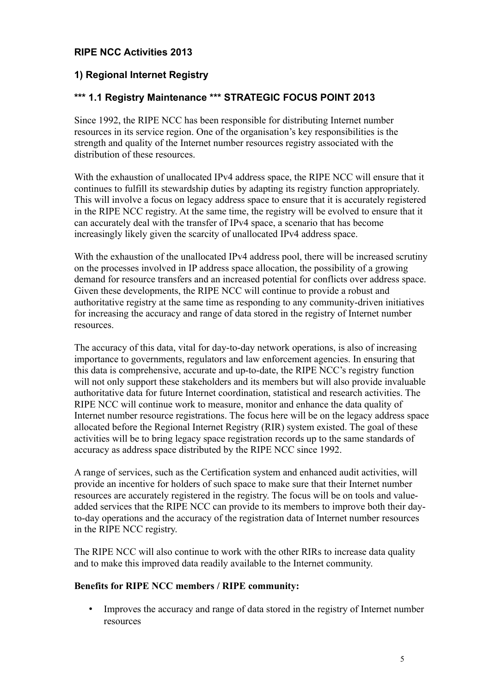## **RIPE NCC Activities 2013**

## <span id="page-4-0"></span>**1) Regional Internet Registry**

### <span id="page-4-1"></span>**\*\*\* 1.1 Registry Maintenance \*\*\* STRATEGIC FOCUS POINT 2013**

Since 1992, the RIPE NCC has been responsible for distributing Internet number resources in its service region. One of the organisation's key responsibilities is the strength and quality of the Internet number resources registry associated with the distribution of these resources.

With the exhaustion of unallocated IPv4 address space, the RIPE NCC will ensure that it continues to fulfill its stewardship duties by adapting its registry function appropriately. This will involve a focus on legacy address space to ensure that it is accurately registered in the RIPE NCC registry. At the same time, the registry will be evolved to ensure that it can accurately deal with the transfer of IPv4 space, a scenario that has become increasingly likely given the scarcity of unallocated IPv4 address space.

With the exhaustion of the unallocated IPv4 address pool, there will be increased scrutiny on the processes involved in IP address space allocation, the possibility of a growing demand for resource transfers and an increased potential for conflicts over address space. Given these developments, the RIPE NCC will continue to provide a robust and authoritative registry at the same time as responding to any community-driven initiatives for increasing the accuracy and range of data stored in the registry of Internet number resources.

The accuracy of this data, vital for day-to-day network operations, is also of increasing importance to governments, regulators and law enforcement agencies. In ensuring that this data is comprehensive, accurate and up-to-date, the RIPE NCC's registry function will not only support these stakeholders and its members but will also provide invaluable authoritative data for future Internet coordination, statistical and research activities. The RIPE NCC will continue work to measure, monitor and enhance the data quality of Internet number resource registrations. The focus here will be on the legacy address space allocated before the Regional Internet Registry (RIR) system existed. The goal of these activities will be to bring legacy space registration records up to the same standards of accuracy as address space distributed by the RIPE NCC since 1992.

A range of services, such as the Certification system and enhanced audit activities, will provide an incentive for holders of such space to make sure that their Internet number resources are accurately registered in the registry. The focus will be on tools and valueadded services that the RIPE NCC can provide to its members to improve both their dayto-day operations and the accuracy of the registration data of Internet number resources in the RIPE NCC registry.

The RIPE NCC will also continue to work with the other RIRs to increase data quality and to make this improved data readily available to the Internet community.

#### **Benefits for RIPE NCC members / RIPE community:**

• Improves the accuracy and range of data stored in the registry of Internet number resources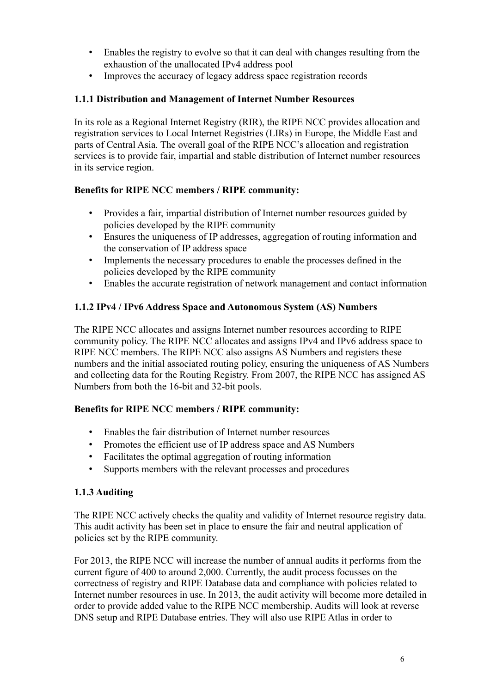- Enables the registry to evolve so that it can deal with changes resulting from the exhaustion of the unallocated IPv4 address pool
- Improves the accuracy of legacy address space registration records

### **1.1.1 Distribution and Management of Internet Number Resources**

In its role as a Regional Internet Registry (RIR), the RIPE NCC provides allocation and registration services to Local Internet Registries (LIRs) in Europe, the Middle East and parts of Central Asia. The overall goal of the RIPE NCC's allocation and registration services is to provide fair, impartial and stable distribution of Internet number resources in its service region.

### **Benefits for RIPE NCC members / RIPE community:**

- Provides a fair, impartial distribution of Internet number resources guided by policies developed by the RIPE community
- Ensures the uniqueness of IP addresses, aggregation of routing information and the conservation of IP address space
- Implements the necessary procedures to enable the processes defined in the policies developed by the RIPE community
- Enables the accurate registration of network management and contact information

### **1.1.2 IPv4 / IPv6 Address Space and Autonomous System (AS) Numbers**

The RIPE NCC allocates and assigns Internet number resources according to RIPE community policy. The RIPE NCC allocates and assigns IPv4 and IPv6 address space to RIPE NCC members. The RIPE NCC also assigns AS Numbers and registers these numbers and the initial associated routing policy, ensuring the uniqueness of AS Numbers and collecting data for the Routing Registry. From 2007, the RIPE NCC has assigned AS Numbers from both the 16-bit and 32-bit pools.

### **Benefits for RIPE NCC members / RIPE community:**

- Enables the fair distribution of Internet number resources
- Promotes the efficient use of IP address space and AS Numbers
- Facilitates the optimal aggregation of routing information
- Supports members with the relevant processes and procedures

### **1.1.3 Auditing**

The RIPE NCC actively checks the quality and validity of Internet resource registry data. This audit activity has been set in place to ensure the fair and neutral application of policies set by the RIPE community.

For 2013, the RIPE NCC will increase the number of annual audits it performs from the current figure of 400 to around 2,000. Currently, the audit process focusses on the correctness of registry and RIPE Database data and compliance with policies related to Internet number resources in use. In 2013, the audit activity will become more detailed in order to provide added value to the RIPE NCC membership. Audits will look at reverse DNS setup and RIPE Database entries. They will also use RIPE Atlas in order to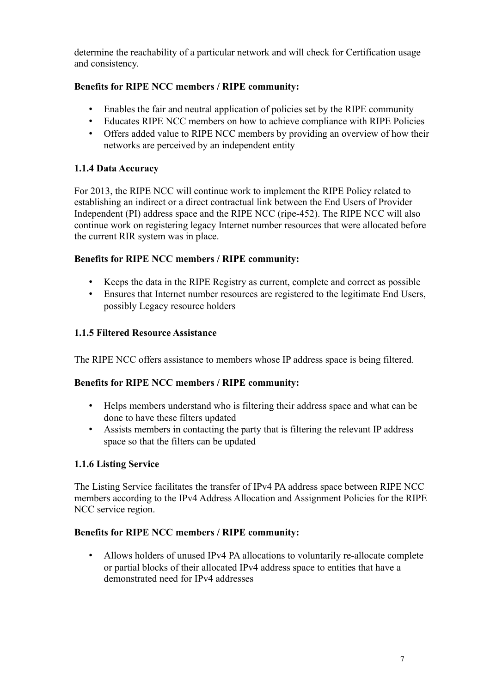determine the reachability of a particular network and will check for Certification usage and consistency.

## **Benefits for RIPE NCC members / RIPE community:**

- Enables the fair and neutral application of policies set by the RIPE community
- Educates RIPE NCC members on how to achieve compliance with RIPE Policies
- Offers added value to RIPE NCC members by providing an overview of how their networks are perceived by an independent entity

### **1.1.4 Data Accuracy**

For 2013, the RIPE NCC will continue work to implement the RIPE Policy related to establishing an indirect or a direct contractual link between the End Users of Provider Independent (PI) address space and the RIPE NCC (ripe-452). The RIPE NCC will also continue work on registering legacy Internet number resources that were allocated before the current RIR system was in place.

### **Benefits for RIPE NCC members / RIPE community:**

- Keeps the data in the RIPE Registry as current, complete and correct as possible
- Ensures that Internet number resources are registered to the legitimate End Users, possibly Legacy resource holders

### **1.1.5 Filtered Resource Assistance**

The RIPE NCC offers assistance to members whose IP address space is being filtered.

### **Benefits for RIPE NCC members / RIPE community:**

- Helps members understand who is filtering their address space and what can be done to have these filters updated
- Assists members in contacting the party that is filtering the relevant IP address space so that the filters can be updated

### **1.1.6 Listing Service**

The Listing Service facilitates the transfer of IPv4 PA address space between RIPE NCC members according to the IPv4 Address Allocation and Assignment Policies for the RIPE NCC service region.

### **Benefits for RIPE NCC members / RIPE community:**

• Allows holders of unused IPv4 PA allocations to voluntarily re-allocate complete or partial blocks of their allocated IPv4 address space to entities that have a demonstrated need for IPv4 addresses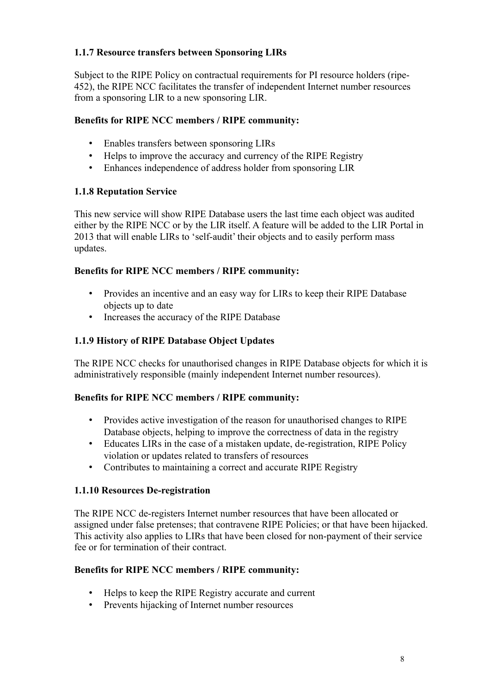## **1.1.7 Resource transfers between Sponsoring LIRs**

Subject to the RIPE Policy on contractual requirements for PI resource holders (ripe-452), the RIPE NCC facilitates the transfer of independent Internet number resources from a sponsoring LIR to a new sponsoring LIR.

### **Benefits for RIPE NCC members / RIPE community:**

- Enables transfers between sponsoring LIRs
- Helps to improve the accuracy and currency of the RIPE Registry
- Enhances independence of address holder from sponsoring LIR

## **1.1.8 Reputation Service**

This new service will show RIPE Database users the last time each object was audited either by the RIPE NCC or by the LIR itself. A feature will be added to the LIR Portal in 2013 that will enable LIRs to 'self-audit' their objects and to easily perform mass updates.

## **Benefits for RIPE NCC members / RIPE community:**

- Provides an incentive and an easy way for LIRs to keep their RIPE Database objects up to date
- Increases the accuracy of the RIPE Database

## **1.1.9 History of RIPE Database Object Updates**

The RIPE NCC checks for unauthorised changes in RIPE Database objects for which it is administratively responsible (mainly independent Internet number resources).

## **Benefits for RIPE NCC members / RIPE community:**

- Provides active investigation of the reason for unauthorised changes to RIPE Database objects, helping to improve the correctness of data in the registry
- Educates LIRs in the case of a mistaken update, de-registration, RIPE Policy violation or updates related to transfers of resources
- Contributes to maintaining a correct and accurate RIPE Registry

## **1.1.10 Resources De-registration**

The RIPE NCC de-registers Internet number resources that have been allocated or assigned under false pretenses; that contravene RIPE Policies; or that have been hijacked. This activity also applies to LIRs that have been closed for non-payment of their service fee or for termination of their contract.

- Helps to keep the RIPE Registry accurate and current
- Prevents hijacking of Internet number resources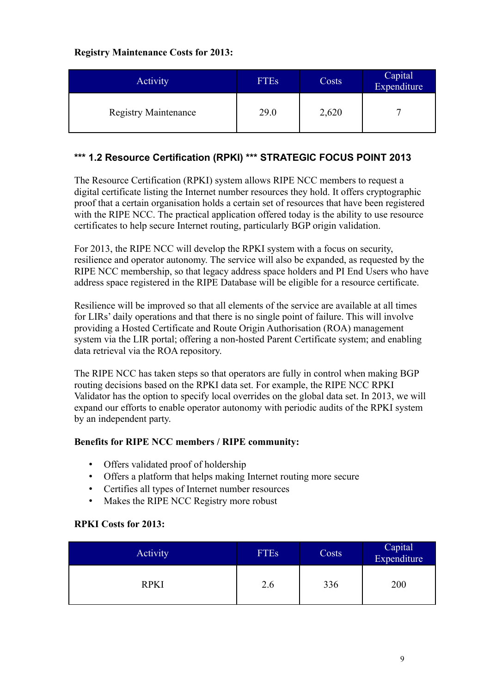### **Registry Maintenance Costs for 2013:**

| <b>Activity</b>             | <b>FTEs</b> | Costs | Capital<br>Expenditure |
|-----------------------------|-------------|-------|------------------------|
| <b>Registry Maintenance</b> | 29.0        | 2,620 |                        |

### <span id="page-8-0"></span>**\*\*\* 1.2 Resource Certification (RPKI) \*\*\* STRATEGIC FOCUS POINT 2013**

The Resource Certification (RPKI) system allows RIPE NCC members to request a digital certificate listing the Internet number resources they hold. It offers cryptographic proof that a certain organisation holds a certain set of resources that have been registered with the RIPE NCC. The practical application offered today is the ability to use resource certificates to help secure Internet routing, particularly BGP origin validation.

For 2013, the RIPE NCC will develop the RPKI system with a focus on security, resilience and operator autonomy. The service will also be expanded, as requested by the RIPE NCC membership, so that legacy address space holders and PI End Users who have address space registered in the RIPE Database will be eligible for a resource certificate.

Resilience will be improved so that all elements of the service are available at all times for LIRs' daily operations and that there is no single point of failure. This will involve providing a Hosted Certificate and Route Origin Authorisation (ROA) management system via the LIR portal; offering a non-hosted Parent Certificate system; and enabling data retrieval via the ROA repository.

The RIPE NCC has taken steps so that operators are fully in control when making BGP routing decisions based on the RPKI data set. For example, the RIPE NCC RPKI Validator has the option to specify local overrides on the global data set. In 2013, we will expand our efforts to enable operator autonomy with periodic audits of the RPKI system by an independent party.

### **Benefits for RIPE NCC members / RIPE community:**

- Offers validated proof of holdership
- Offers a platform that helps making Internet routing more secure
- Certifies all types of Internet number resources
- Makes the RIPE NCC Registry more robust

### **RPKI Costs for 2013:**

| <b>Activity</b> | <b>FTEs</b> | Costs | Capital<br>Expenditure |
|-----------------|-------------|-------|------------------------|
| <b>RPKI</b>     | 2.6         | 336   | 200                    |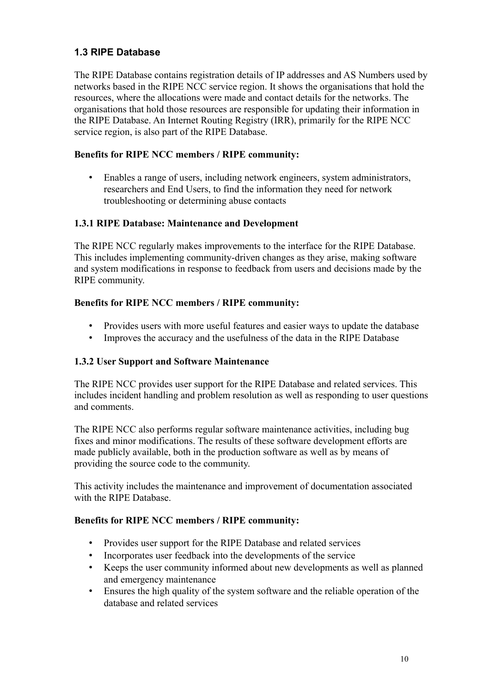## <span id="page-9-0"></span>**1.3 RIPE Database**

The RIPE Database contains registration details of IP addresses and AS Numbers used by networks based in the RIPE NCC service region. It shows the organisations that hold the resources, where the allocations were made and contact details for the networks. The organisations that hold those resources are responsible for updating their information in the RIPE Database. An Internet Routing Registry (IRR), primarily for the RIPE NCC service region, is also part of the RIPE Database.

### **Benefits for RIPE NCC members / RIPE community:**

• Enables a range of users, including network engineers, system administrators, researchers and End Users, to find the information they need for network troubleshooting or determining abuse contacts

### **1.3.1 RIPE Database: Maintenance and Development**

The RIPE NCC regularly makes improvements to the interface for the RIPE Database. This includes implementing community-driven changes as they arise, making software and system modifications in response to feedback from users and decisions made by the RIPE community.

### **Benefits for RIPE NCC members / RIPE community:**

- Provides users with more useful features and easier ways to update the database
- Improves the accuracy and the usefulness of the data in the RIPE Database

### **1.3.2 User Support and Software Maintenance**

The RIPE NCC provides user support for the RIPE Database and related services. This includes incident handling and problem resolution as well as responding to user questions and comments.

The RIPE NCC also performs regular software maintenance activities, including bug fixes and minor modifications. The results of these software development efforts are made publicly available, both in the production software as well as by means of providing the source code to the community.

This activity includes the maintenance and improvement of documentation associated with the RIPE Database.

- Provides user support for the RIPE Database and related services
- Incorporates user feedback into the developments of the service
- Keeps the user community informed about new developments as well as planned and emergency maintenance
- Ensures the high quality of the system software and the reliable operation of the database and related services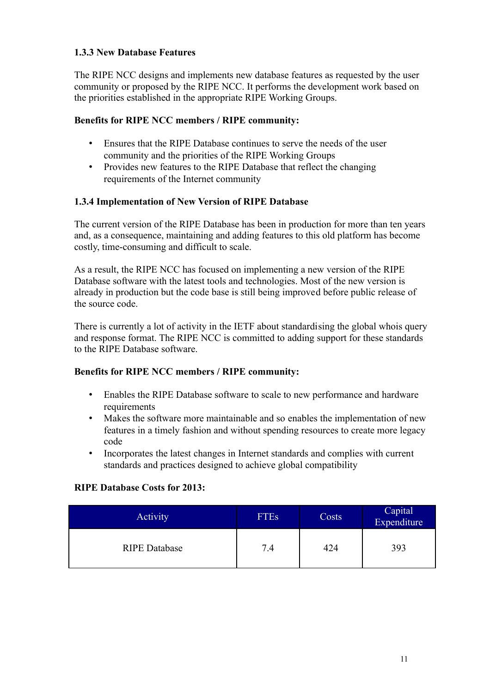### **1.3.3 New Database Features**

The RIPE NCC designs and implements new database features as requested by the user community or proposed by the RIPE NCC. It performs the development work based on the priorities established in the appropriate RIPE Working Groups.

### **Benefits for RIPE NCC members / RIPE community:**

- Ensures that the RIPE Database continues to serve the needs of the user community and the priorities of the RIPE Working Groups
- Provides new features to the RIPE Database that reflect the changing requirements of the Internet community

### **1.3.4 Implementation of New Version of RIPE Database**

The current version of the RIPE Database has been in production for more than ten years and, as a consequence, maintaining and adding features to this old platform has become costly, time-consuming and difficult to scale.

As a result, the RIPE NCC has focused on implementing a new version of the RIPE Database software with the latest tools and technologies. Most of the new version is already in production but the code base is still being improved before public release of the source code.

There is currently a lot of activity in the IETF about standardising the global whois query and response format. The RIPE NCC is committed to adding support for these standards to the RIPE Database software.

### **Benefits for RIPE NCC members / RIPE community:**

- Enables the RIPE Database software to scale to new performance and hardware requirements
- Makes the software more maintainable and so enables the implementation of new features in a timely fashion and without spending resources to create more legacy code
- Incorporates the latest changes in Internet standards and complies with current standards and practices designed to achieve global compatibility

### **RIPE Database Costs for 2013:**

| Activity             | <b>FTEs</b> | Costs | Capital<br>Expenditure |
|----------------------|-------------|-------|------------------------|
| <b>RIPE Database</b> | 7.4         | 424   | 393                    |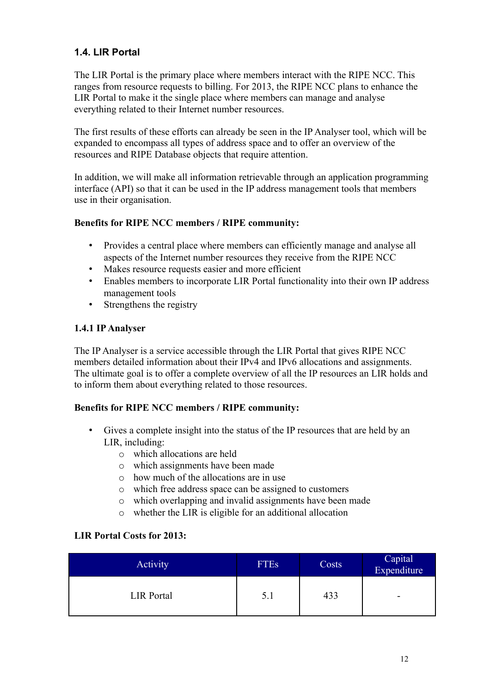## <span id="page-11-0"></span>**1.4. LIR Portal**

The LIR Portal is the primary place where members interact with the RIPE NCC. This ranges from resource requests to billing. For 2013, the RIPE NCC plans to enhance the LIR Portal to make it the single place where members can manage and analyse everything related to their Internet number resources.

The first results of these efforts can already be seen in the IP Analyser tool, which will be expanded to encompass all types of address space and to offer an overview of the resources and RIPE Database objects that require attention.

In addition, we will make all information retrievable through an application programming interface (API) so that it can be used in the IP address management tools that members use in their organisation.

### **Benefits for RIPE NCC members / RIPE community:**

- Provides a central place where members can efficiently manage and analyse all aspects of the Internet number resources they receive from the RIPE NCC
- Makes resource requests easier and more efficient
- Enables members to incorporate LIR Portal functionality into their own IP address management tools
- Strengthens the registry

### **1.4.1 IP Analyser**

The IP Analyser is a service accessible through the LIR Portal that gives RIPE NCC members detailed information about their IPv4 and IPv6 allocations and assignments. The ultimate goal is to offer a complete overview of all the IP resources an LIR holds and to inform them about everything related to those resources.

### **Benefits for RIPE NCC members / RIPE community:**

- Gives a complete insight into the status of the IP resources that are held by an LIR, including:
	- o which allocations are held
	- o which assignments have been made
	- o how much of the allocations are in use
	- o which free address space can be assigned to customers
	- o which overlapping and invalid assignments have been made
	- o whether the LIR is eligible for an additional allocation

### **LIR Portal Costs for 2013:**

| Activity          | <b>FTEs</b> | Costs | Capital<br>Expenditure |
|-------------------|-------------|-------|------------------------|
| <b>LIR</b> Portal | 5.1         | 433   | -                      |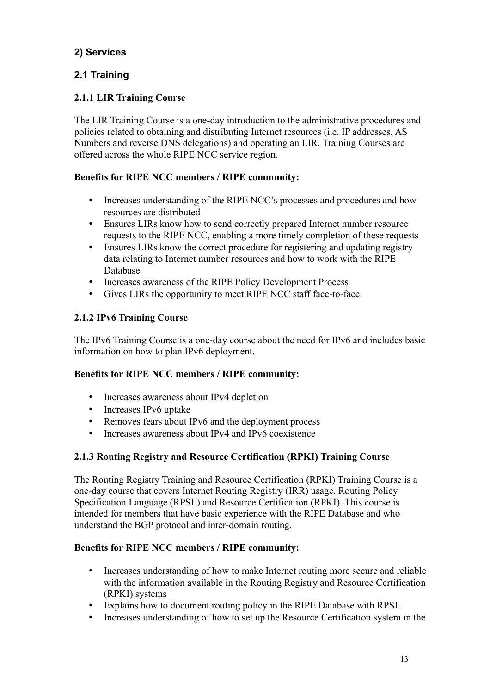## <span id="page-12-1"></span>**2) Services**

## <span id="page-12-0"></span>**2.1 Training**

## **2.1.1 LIR Training Course**

The LIR Training Course is a one-day introduction to the administrative procedures and policies related to obtaining and distributing Internet resources (i.e. IP addresses, AS Numbers and reverse DNS delegations) and operating an LIR. Training Courses are offered across the whole RIPE NCC service region.

## **Benefits for RIPE NCC members / RIPE community:**

- Increases understanding of the RIPE NCC's processes and procedures and how resources are distributed
- Ensures LIRs know how to send correctly prepared Internet number resource requests to the RIPE NCC, enabling a more timely completion of these requests
- Ensures LIRs know the correct procedure for registering and updating registry data relating to Internet number resources and how to work with the RIPE Database
- Increases awareness of the RIPE Policy Development Process
- Gives LIRs the opportunity to meet RIPE NCC staff face-to-face

## **2.1.2 IPv6 Training Course**

The IPv6 Training Course is a one-day course about the need for IPv6 and includes basic information on how to plan IPv6 deployment.

## **Benefits for RIPE NCC members / RIPE community:**

- Increases awareness about IPv4 depletion
- Increases IPv6 uptake
- Removes fears about IPv6 and the deployment process
- Increases awareness about IPv4 and IPv6 coexistence

## **2.1.3 Routing Registry and Resource Certification (RPKI) Training Course**

The Routing Registry Training and Resource Certification (RPKI) Training Course is a one-day course that covers Internet Routing Registry (IRR) usage, Routing Policy Specification Language (RPSL) and Resource Certification (RPKI). This course is intended for members that have basic experience with the RIPE Database and who understand the BGP protocol and inter-domain routing.

- Increases understanding of how to make Internet routing more secure and reliable with the information available in the Routing Registry and Resource Certification (RPKI) systems
- Explains how to document routing policy in the RIPE Database with RPSL
- Increases understanding of how to set up the Resource Certification system in the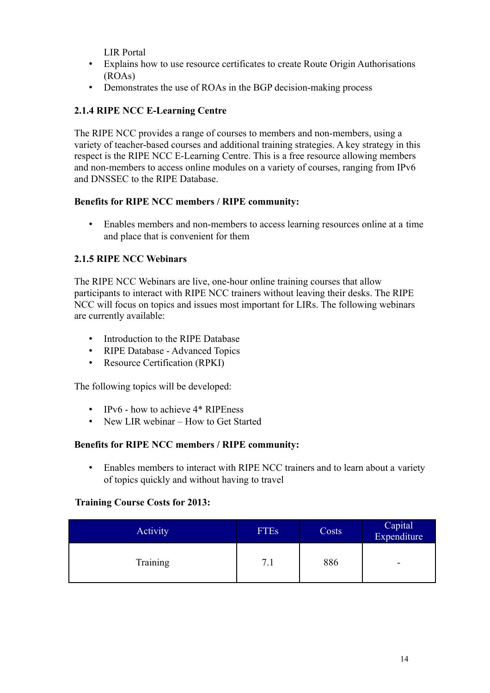LIR Portal

- Explains how to use resource certificates to create Route Origin Authorisations (ROAs)
- Demonstrates the use of ROAs in the BGP decision-making process

## **2.1.4 RIPE NCC E-Learning Centre**

The RIPE NCC provides a range of courses to members and non-members, using a variety of teacher-based courses and additional training strategies. A key strategy in this respect is the RIPE NCC E-Learning Centre. This is a free resource allowing members and non-members to access online modules on a variety of courses, ranging from IPv6 and DNSSEC to the RIPE Database.

### **Benefits for RIPE NCC members / RIPE community:**

• Enables members and non-members to access learning resources online at a time and place that is convenient for them

## **2.1.5 RIPE NCC Webinars**

The RIPE NCC Webinars are live, one-hour online training courses that allow participants to interact with RIPE NCC trainers without leaving their desks. The RIPE NCC will focus on topics and issues most important for LIRs. The following webinars are currently available:

- Introduction to the RIPE Database
- RIPE Database Advanced Topics
- Resource Certification (RPKI)

The following topics will be developed:

- IPv6 how to achieve 4\* RIPEness
- New LIR webinar How to Get Started

### **Benefits for RIPE NCC members / RIPE community:**

• Enables members to interact with RIPE NCC trainers and to learn about a variety of topics quickly and without having to travel

### **Training Course Costs for 2013:**

<span id="page-13-0"></span>

| Activity | <b>FTEs</b> | Costs | Capital<br>Expenditure |
|----------|-------------|-------|------------------------|
| Training | 7.1         | 886   | -                      |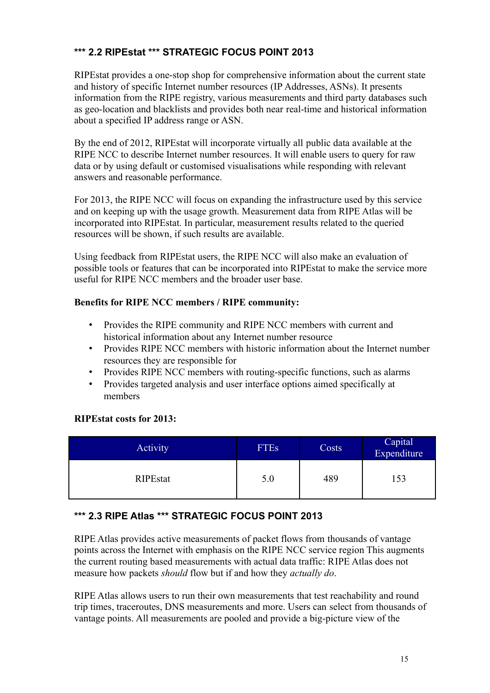## **\*\*\* 2.2 RIPEstat \*\*\* STRATEGIC FOCUS POINT 2013**

RIPEstat provides a one-stop shop for comprehensive information about the current state and history of specific Internet number resources (IP Addresses, ASNs). It presents information from the RIPE registry, various measurements and third party databases such as geo-location and blacklists and provides both near real-time and historical information about a specified IP address range or ASN.

By the end of 2012, RIPEstat will incorporate virtually all public data available at the RIPE NCC to describe Internet number resources. It will enable users to query for raw data or by using default or customised visualisations while responding with relevant answers and reasonable performance.

For 2013, the RIPE NCC will focus on expanding the infrastructure used by this service and on keeping up with the usage growth. Measurement data from RIPE Atlas will be incorporated into RIPEstat. In particular, measurement results related to the queried resources will be shown, if such results are available.

Using feedback from RIPEstat users, the RIPE NCC will also make an evaluation of possible tools or features that can be incorporated into RIPEstat to make the service more useful for RIPE NCC members and the broader user base.

### **Benefits for RIPE NCC members / RIPE community:**

- Provides the RIPE community and RIPE NCC members with current and historical information about any Internet number resource
- Provides RIPE NCC members with historic information about the Internet number resources they are responsible for
- Provides RIPE NCC members with routing-specific functions, such as alarms
- Provides targeted analysis and user interface options aimed specifically at members

### **RIPEstat costs for 2013:**

| Activity        | <b>FTEs</b> | Costs | Capital<br>Expenditure |
|-----------------|-------------|-------|------------------------|
| <b>RIPEstat</b> | 5.0         | 489   |                        |

## <span id="page-14-0"></span>**\*\*\* 2.3 RIPE Atlas \*\*\* STRATEGIC FOCUS POINT 2013**

RIPE Atlas provides active measurements of packet flows from thousands of vantage points across the Internet with emphasis on the RIPE NCC service region This augments the current routing based measurements with actual data traffic: RIPE Atlas does not measure how packets *should* flow but if and how they *actually do*.

RIPE Atlas allows users to run their own measurements that test reachability and round trip times, traceroutes, DNS measurements and more. Users can select from thousands of vantage points. All measurements are pooled and provide a big-picture view of the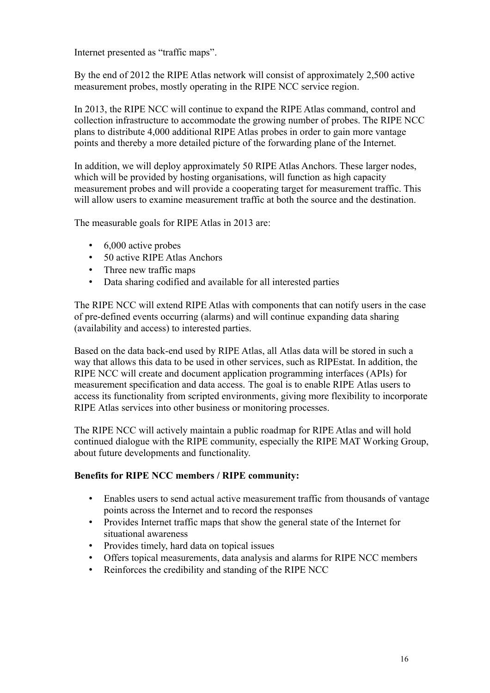Internet presented as "traffic maps".

By the end of 2012 the RIPE Atlas network will consist of approximately 2,500 active measurement probes, mostly operating in the RIPE NCC service region.

In 2013, the RIPE NCC will continue to expand the RIPE Atlas command, control and collection infrastructure to accommodate the growing number of probes. The RIPE NCC plans to distribute 4,000 additional RIPE Atlas probes in order to gain more vantage points and thereby a more detailed picture of the forwarding plane of the Internet.

In addition, we will deploy approximately 50 RIPE Atlas Anchors. These larger nodes, which will be provided by hosting organisations, will function as high capacity measurement probes and will provide a cooperating target for measurement traffic. This will allow users to examine measurement traffic at both the source and the destination.

The measurable goals for RIPE Atlas in 2013 are:

- 6,000 active probes
- 50 active RIPE Atlas Anchors
- Three new traffic maps
- Data sharing codified and available for all interested parties

The RIPE NCC will extend RIPE Atlas with components that can notify users in the case of pre-defined events occurring (alarms) and will continue expanding data sharing (availability and access) to interested parties.

Based on the data back-end used by RIPE Atlas, all Atlas data will be stored in such a way that allows this data to be used in other services, such as RIPEstat. In addition, the RIPE NCC will create and document application programming interfaces (APIs) for measurement specification and data access. The goal is to enable RIPE Atlas users to access its functionality from scripted environments, giving more flexibility to incorporate RIPE Atlas services into other business or monitoring processes.

The RIPE NCC will actively maintain a public roadmap for RIPE Atlas and will hold continued dialogue with the RIPE community, especially the RIPE MAT Working Group, about future developments and functionality.

- Enables users to send actual active measurement traffic from thousands of vantage points across the Internet and to record the responses
- Provides Internet traffic maps that show the general state of the Internet for situational awareness
- Provides timely, hard data on topical issues
- Offers topical measurements, data analysis and alarms for RIPE NCC members
- Reinforces the credibility and standing of the RIPE NCC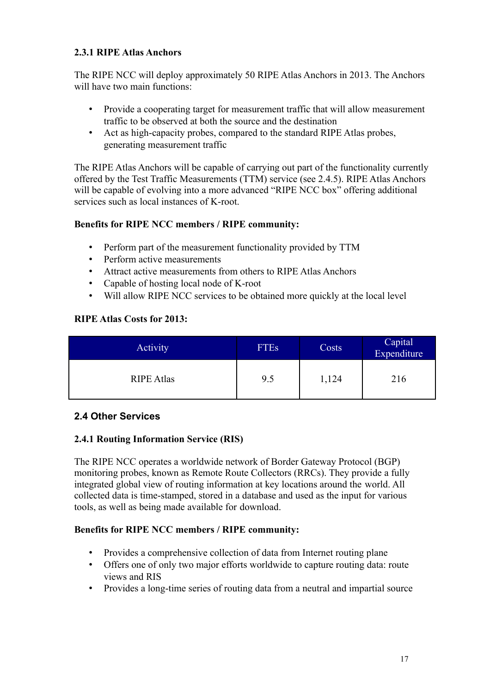### **2.3.1 RIPE Atlas Anchors**

The RIPE NCC will deploy approximately 50 RIPE Atlas Anchors in 2013. The Anchors will have two main functions:

- Provide a cooperating target for measurement traffic that will allow measurement traffic to be observed at both the source and the destination
- Act as high-capacity probes, compared to the standard RIPE Atlas probes, generating measurement traffic

The RIPE Atlas Anchors will be capable of carrying out part of the functionality currently offered by the Test Traffic Measurements (TTM) service (see 2.4.5). RIPE Atlas Anchors will be capable of evolving into a more advanced "RIPE NCC box" offering additional services such as local instances of K-root.

### **Benefits for RIPE NCC members / RIPE community:**

- Perform part of the measurement functionality provided by TTM
- Perform active measurements
- Attract active measurements from others to RIPE Atlas Anchors
- Capable of hosting local node of K-root
- Will allow RIPE NCC services to be obtained more quickly at the local level

### **RIPE Atlas Costs for 2013:**

| Activity          | <b>FTEs</b> | Costs | Capital<br>Expenditure |
|-------------------|-------------|-------|------------------------|
| <b>RIPE Atlas</b> | 9.5         | ,124  | 216                    |

## <span id="page-16-0"></span>**2.4 Other Services**

## **2.4.1 Routing Information Service (RIS)**

The RIPE NCC operates a worldwide network of Border Gateway Protocol (BGP) monitoring probes, known as Remote Route Collectors (RRCs). They provide a fully integrated global view of routing information at key locations around the world. All collected data is time-stamped, stored in a database and used as the input for various tools, as well as being made available for download.

- Provides a comprehensive collection of data from Internet routing plane
- Offers one of only two major efforts worldwide to capture routing data: route views and RIS
- Provides a long-time series of routing data from a neutral and impartial source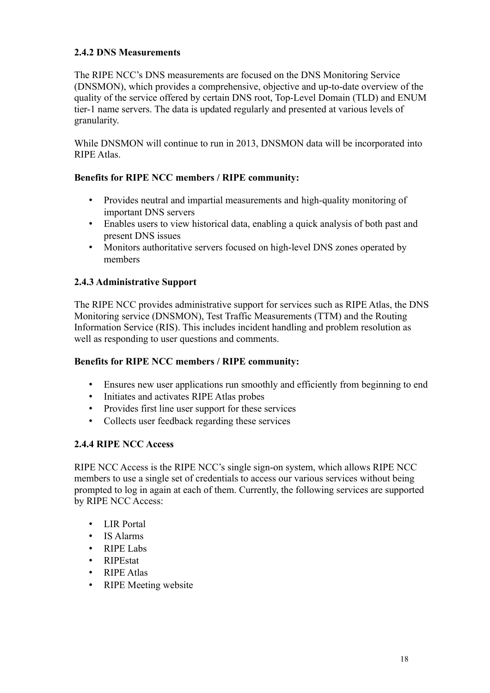## **2.4.2 DNS Measurements**

The RIPE NCC's DNS measurements are focused on the DNS Monitoring Service (DNSMON), which provides a comprehensive, objective and up-to-date overview of the quality of the service offered by certain DNS root, Top-Level Domain (TLD) and ENUM tier-1 name servers. The data is updated regularly and presented at various levels of granularity.

While DNSMON will continue to run in 2013, DNSMON data will be incorporated into RIPE Atlas.

### **Benefits for RIPE NCC members / RIPE community:**

- Provides neutral and impartial measurements and high-quality monitoring of important DNS servers
- Enables users to view historical data, enabling a quick analysis of both past and present DNS issues
- Monitors authoritative servers focused on high-level DNS zones operated by members

## **2.4.3 Administrative Support**

The RIPE NCC provides administrative support for services such as RIPE Atlas, the DNS Monitoring service (DNSMON), Test Traffic Measurements (TTM) and the Routing Information Service (RIS). This includes incident handling and problem resolution as well as responding to user questions and comments.

### **Benefits for RIPE NCC members / RIPE community:**

- Ensures new user applications run smoothly and efficiently from beginning to end
- Initiates and activates RIPE Atlas probes
- Provides first line user support for these services
- Collects user feedback regarding these services

### **2.4.4 RIPE NCC Access**

RIPE NCC Access is the RIPE NCC's single sign-on system, which allows RIPE NCC members to use a single set of credentials to access our various services without being prompted to log in again at each of them. Currently, the following services are supported by RIPE NCC Access:

- LIR Portal
- IS Alarms
- RIPE Labs
- RIPEstat
- RIPE Atlas
- RIPE Meeting website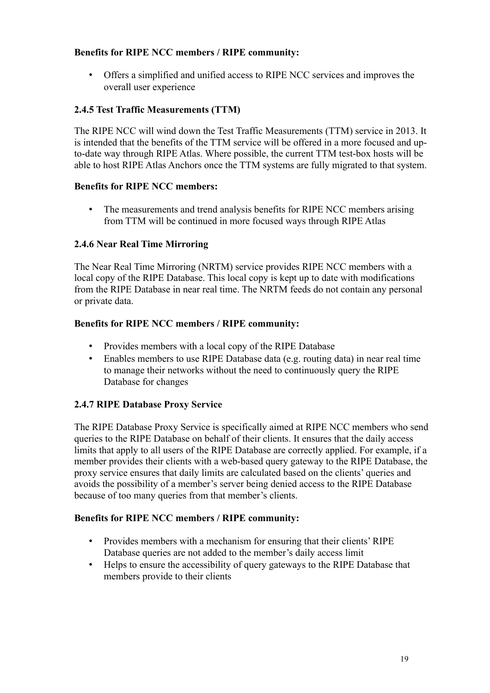### **Benefits for RIPE NCC members / RIPE community:**

• Offers a simplified and unified access to RIPE NCC services and improves the overall user experience

### **2.4.5 Test Traffic Measurements (TTM)**

The RIPE NCC will wind down the Test Traffic Measurements (TTM) service in 2013. It is intended that the benefits of the TTM service will be offered in a more focused and upto-date way through RIPE Atlas. Where possible, the current TTM test-box hosts will be able to host RIPE Atlas Anchors once the TTM systems are fully migrated to that system.

### **Benefits for RIPE NCC members:**

• The measurements and trend analysis benefits for RIPE NCC members arising from TTM will be continued in more focused ways through RIPE Atlas

### **2.4.6 Near Real Time Mirroring**

The Near Real Time Mirroring (NRTM) service provides RIPE NCC members with a local copy of the RIPE Database. This local copy is kept up to date with modifications from the RIPE Database in near real time. The NRTM feeds do not contain any personal or private data.

### **Benefits for RIPE NCC members / RIPE community:**

- Provides members with a local copy of the RIPE Database
- Enables members to use RIPE Database data (e.g. routing data) in near real time to manage their networks without the need to continuously query the RIPE Database for changes

### **2.4.7 RIPE Database Proxy Service**

The RIPE Database Proxy Service is specifically aimed at RIPE NCC members who send queries to the RIPE Database on behalf of their clients. It ensures that the daily access limits that apply to all users of the RIPE Database are correctly applied. For example, if a member provides their clients with a web-based query gateway to the RIPE Database, the proxy service ensures that daily limits are calculated based on the clients' queries and avoids the possibility of a member's server being denied access to the RIPE Database because of too many queries from that member's clients.

- Provides members with a mechanism for ensuring that their clients' RIPE Database queries are not added to the member's daily access limit
- Helps to ensure the accessibility of query gateways to the RIPE Database that members provide to their clients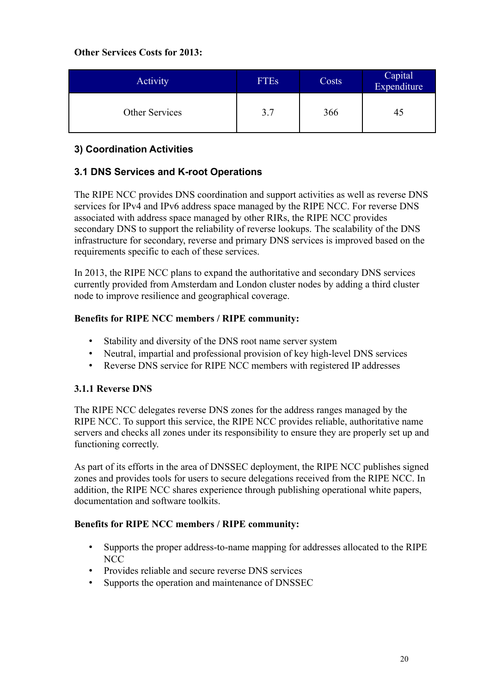### **Other Services Costs for 2013:**

| Activity       | <b>FTEs</b> | Costs | Capital<br>Expenditure |
|----------------|-------------|-------|------------------------|
| Other Services | 3.7         | 366   |                        |

## <span id="page-19-1"></span>**3) Coordination Activities**

## <span id="page-19-0"></span>**3.1 DNS Services and K-root Operations**

The RIPE NCC provides DNS coordination and support activities as well as reverse DNS services for IPv4 and IPv6 address space managed by the RIPE NCC. For reverse DNS associated with address space managed by other RIRs, the RIPE NCC provides secondary DNS to support the reliability of reverse lookups. The scalability of the DNS infrastructure for secondary, reverse and primary DNS services is improved based on the requirements specific to each of these services.

In 2013, the RIPE NCC plans to expand the authoritative and secondary DNS services currently provided from Amsterdam and London cluster nodes by adding a third cluster node to improve resilience and geographical coverage.

### **Benefits for RIPE NCC members / RIPE community:**

- Stability and diversity of the DNS root name server system
- Neutral, impartial and professional provision of key high-level DNS services
- Reverse DNS service for RIPE NCC members with registered IP addresses

### **3.1.1 Reverse DNS**

The RIPE NCC delegates reverse DNS zones for the address ranges managed by the RIPE NCC. To support this service, the RIPE NCC provides reliable, authoritative name servers and checks all zones under its responsibility to ensure they are properly set up and functioning correctly.

As part of its efforts in the area of DNSSEC deployment, the RIPE NCC publishes signed zones and provides tools for users to secure delegations received from the RIPE NCC. In addition, the RIPE NCC shares experience through publishing operational white papers, documentation and software toolkits.

- Supports the proper address-to-name mapping for addresses allocated to the RIPE NCC
- Provides reliable and secure reverse DNS services
- Supports the operation and maintenance of DNSSEC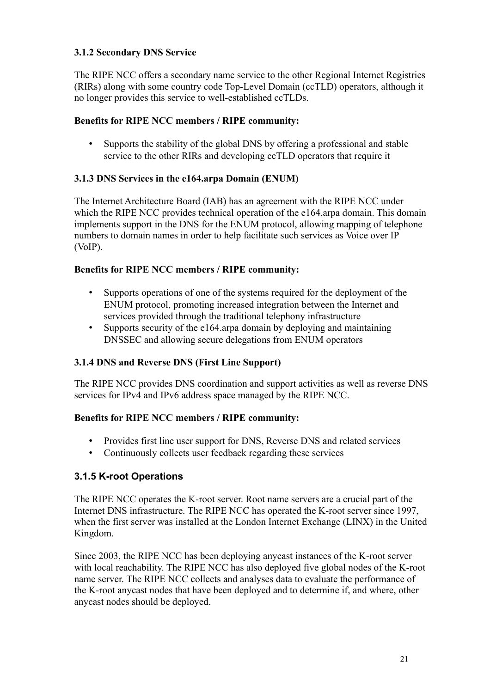## **3.1.2 Secondary DNS Service**

The RIPE NCC offers a secondary name service to the other Regional Internet Registries (RIRs) along with some country code Top-Level Domain (ccTLD) operators, although it no longer provides this service to well-established ccTLDs.

### **Benefits for RIPE NCC members / RIPE community:**

• Supports the stability of the global DNS by offering a professional and stable service to the other RIRs and developing ccTLD operators that require it

## **3.1.3 DNS Services in the e164.arpa Domain (ENUM)**

The Internet Architecture Board (IAB) has an agreement with the RIPE NCC under which the RIPE NCC provides technical operation of the e164.arpa domain. This domain implements support in the DNS for the ENUM protocol, allowing mapping of telephone numbers to domain names in order to help facilitate such services as Voice over IP (VoIP).

### **Benefits for RIPE NCC members / RIPE community:**

- Supports operations of one of the systems required for the deployment of the ENUM protocol, promoting increased integration between the Internet and services provided through the traditional telephony infrastructure
- Supports security of the e164 arpa domain by deploying and maintaining DNSSEC and allowing secure delegations from ENUM operators

## **3.1.4 DNS and Reverse DNS (First Line Support)**

The RIPE NCC provides DNS coordination and support activities as well as reverse DNS services for IPv4 and IPv6 address space managed by the RIPE NCC.

### **Benefits for RIPE NCC members / RIPE community:**

- Provides first line user support for DNS, Reverse DNS and related services
- Continuously collects user feedback regarding these services

## **3.1.5 K-root Operations**

The RIPE NCC operates the K-root server. Root name servers are a crucial part of the Internet DNS infrastructure. The RIPE NCC has operated the K-root server since 1997, when the first server was installed at the London Internet Exchange (LINX) in the United Kingdom.

Since 2003, the RIPE NCC has been deploying anycast instances of the K-root server with local reachability. The RIPE NCC has also deployed five global nodes of the K-root name server. The RIPE NCC collects and analyses data to evaluate the performance of the K-root anycast nodes that have been deployed and to determine if, and where, other anycast nodes should be deployed.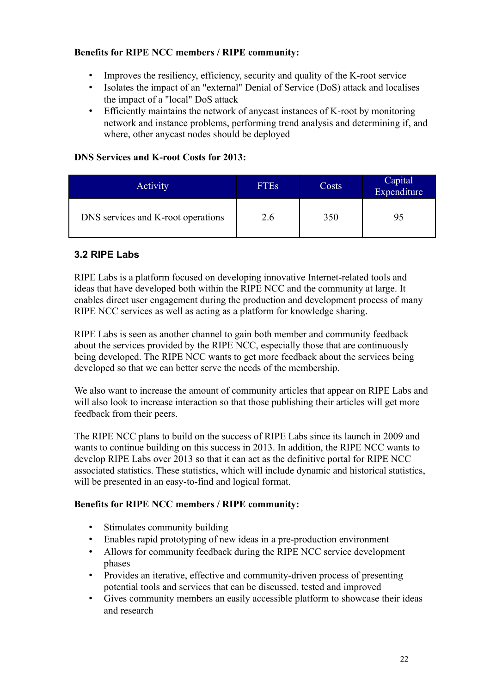### **Benefits for RIPE NCC members / RIPE community:**

- Improves the resiliency, efficiency, security and quality of the K-root service
- Isolates the impact of an "external" Denial of Service (DoS) attack and localises the impact of a "local" DoS attack
- Efficiently maintains the network of anycast instances of K-root by monitoring network and instance problems, performing trend analysis and determining if, and where, other anycast nodes should be deployed

## **DNS Services and K-root Costs for 2013:**

| <b>Activity</b>                    | <b>FTEs</b> | Costs | Capital<br>Expenditure |
|------------------------------------|-------------|-------|------------------------|
| DNS services and K-root operations | 2.6         | 350   |                        |

## <span id="page-21-0"></span>**3.2 RIPE Labs**

RIPE Labs is a platform focused on developing innovative Internet-related tools and ideas that have developed both within the RIPE NCC and the community at large. It enables direct user engagement during the production and development process of many RIPE NCC services as well as acting as a platform for knowledge sharing.

RIPE Labs is seen as another channel to gain both member and community feedback about the services provided by the RIPE NCC, especially those that are continuously being developed. The RIPE NCC wants to get more feedback about the services being developed so that we can better serve the needs of the membership.

We also want to increase the amount of community articles that appear on RIPE Labs and will also look to increase interaction so that those publishing their articles will get more feedback from their peers.

The RIPE NCC plans to build on the success of RIPE Labs since its launch in 2009 and wants to continue building on this success in 2013. In addition, the RIPE NCC wants to develop RIPE Labs over 2013 so that it can act as the definitive portal for RIPE NCC associated statistics. These statistics, which will include dynamic and historical statistics, will be presented in an easy-to-find and logical format.

- Stimulates community building
- Enables rapid prototyping of new ideas in a pre-production environment
- Allows for community feedback during the RIPE NCC service development phases
- Provides an iterative, effective and community-driven process of presenting potential tools and services that can be discussed, tested and improved
- Gives community members an easily accessible platform to showcase their ideas and research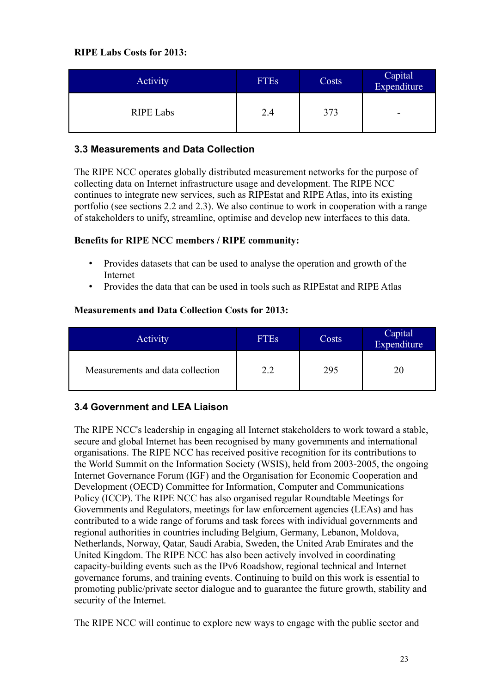| Activity         | <b>FTEs</b> | Costs | Capital<br>Expenditure |
|------------------|-------------|-------|------------------------|
| <b>RIPE Labs</b> | 2.4         | 373   | ۰                      |

## <span id="page-22-1"></span>**3.3 Measurements and Data Collection**

The RIPE NCC operates globally distributed measurement networks for the purpose of collecting data on Internet infrastructure usage and development. The RIPE NCC continues to integrate new services, such as RIPEstat and RIPE Atlas, into its existing portfolio (see sections 2.2 and 2.3). We also continue to work in cooperation with a range of stakeholders to unify, streamline, optimise and develop new interfaces to this data.

### **Benefits for RIPE NCC members / RIPE community:**

- Provides datasets that can be used to analyse the operation and growth of the Internet
- Provides the data that can be used in tools such as RIPEstat and RIPE Atlas

### **Measurements and Data Collection Costs for 2013:**

| Activity                         | <b>FTEs</b> | Costs | Capital<br>Expenditure |
|----------------------------------|-------------|-------|------------------------|
| Measurements and data collection | 2.2         | 295   | 20                     |

## <span id="page-22-0"></span>**3.4 Government and LEA Liaison**

The RIPE NCC's leadership in engaging all Internet stakeholders to work toward a stable, secure and global Internet has been recognised by many governments and international organisations. The RIPE NCC has received positive recognition for its contributions to the World Summit on the Information Society (WSIS), held from 2003-2005, the ongoing Internet Governance Forum (IGF) and the Organisation for Economic Cooperation and Development (OECD) Committee for Information, Computer and Communications Policy (ICCP). The RIPE NCC has also organised regular Roundtable Meetings for Governments and Regulators, meetings for law enforcement agencies (LEAs) and has contributed to a wide range of forums and task forces with individual governments and regional authorities in countries including Belgium, Germany, Lebanon, Moldova, Netherlands, Norway, Qatar, Saudi Arabia, Sweden, the United Arab Emirates and the United Kingdom. The RIPE NCC has also been actively involved in coordinating capacity-building events such as the IPv6 Roadshow, regional technical and Internet governance forums, and training events. Continuing to build on this work is essential to promoting public/private sector dialogue and to guarantee the future growth, stability and security of the Internet.

The RIPE NCC will continue to explore new ways to engage with the public sector and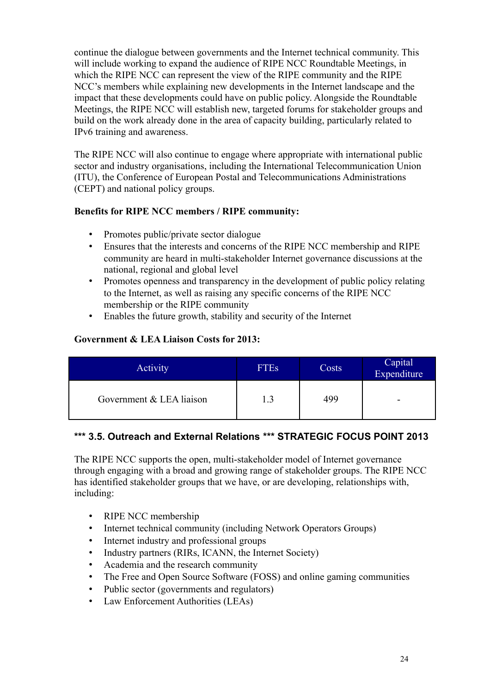continue the dialogue between governments and the Internet technical community. This will include working to expand the audience of RIPE NCC Roundtable Meetings, in which the RIPE NCC can represent the view of the RIPE community and the RIPE NCC's members while explaining new developments in the Internet landscape and the impact that these developments could have on public policy. Alongside the Roundtable Meetings, the RIPE NCC will establish new, targeted forums for stakeholder groups and build on the work already done in the area of capacity building, particularly related to IPv6 training and awareness.

The RIPE NCC will also continue to engage where appropriate with international public sector and industry organisations, including the International Telecommunication Union (ITU), the Conference of European Postal and Telecommunications Administrations (CEPT) and national policy groups.

### **Benefits for RIPE NCC members / RIPE community:**

- Promotes public/private sector dialogue
- Ensures that the interests and concerns of the RIPE NCC membership and RIPE community are heard in multi-stakeholder Internet governance discussions at the national, regional and global level
- Promotes openness and transparency in the development of public policy relating to the Internet, as well as raising any specific concerns of the RIPE NCC membership or the RIPE community
- Enables the future growth, stability and security of the Internet

## **Government & LEA Liaison Costs for 2013:**

| <b>Activity</b>          | <b>FTEs</b> | Costs | Capital<br>Expenditure |
|--------------------------|-------------|-------|------------------------|
| Government & LEA liaison |             | 499   | -                      |

## <span id="page-23-0"></span>**\*\*\* 3.5. Outreach and External Relations \*\*\* STRATEGIC FOCUS POINT 2013**

The RIPE NCC supports the open, multi-stakeholder model of Internet governance through engaging with a broad and growing range of stakeholder groups. The RIPE NCC has identified stakeholder groups that we have, or are developing, relationships with, including:

- RIPE NCC membership
- Internet technical community (including Network Operators Groups)
- Internet industry and professional groups
- Industry partners (RIRs, ICANN, the Internet Society)
- Academia and the research community
- The Free and Open Source Software (FOSS) and online gaming communities
- Public sector (governments and regulators)
- Law Enforcement Authorities (LEAs)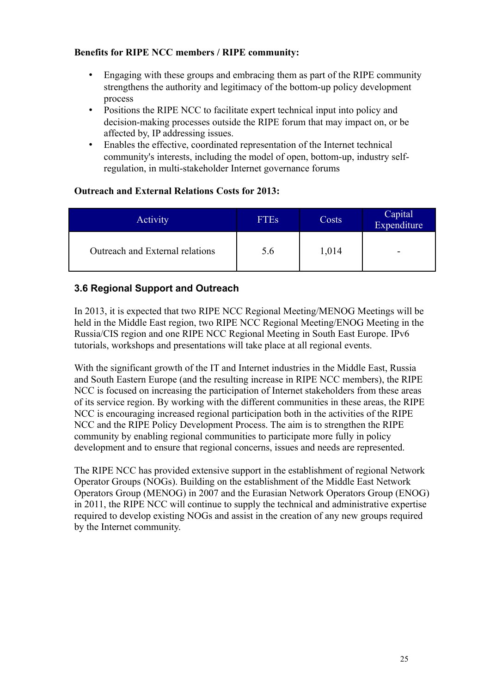### **Benefits for RIPE NCC members / RIPE community:**

- Engaging with these groups and embracing them as part of the RIPE community strengthens the authority and legitimacy of the bottom-up policy development process
- Positions the RIPE NCC to facilitate expert technical input into policy and decision-making processes outside the RIPE forum that may impact on, or be affected by, IP addressing issues.
- Enables the effective, coordinated representation of the Internet technical community's interests, including the model of open, bottom-up, industry selfregulation, in multi-stakeholder Internet governance forums

### **Outreach and External Relations Costs for 2013:**

| Activity                        | <b>FTEs</b> | Costs | Capital<br>Expenditure |
|---------------------------------|-------------|-------|------------------------|
| Outreach and External relations | 5.6         | 1,014 | -                      |

## <span id="page-24-0"></span>**3.6 Regional Support and Outreach**

In 2013, it is expected that two RIPE NCC Regional Meeting/MENOG Meetings will be held in the Middle East region, two RIPE NCC Regional Meeting/ENOG Meeting in the Russia/CIS region and one RIPE NCC Regional Meeting in South East Europe. IPv6 tutorials, workshops and presentations will take place at all regional events.

With the significant growth of the IT and Internet industries in the Middle East, Russia and South Eastern Europe (and the resulting increase in RIPE NCC members), the RIPE NCC is focused on increasing the participation of Internet stakeholders from these areas of its service region. By working with the different communities in these areas, the RIPE NCC is encouraging increased regional participation both in the activities of the RIPE NCC and the RIPE Policy Development Process. The aim is to strengthen the RIPE community by enabling regional communities to participate more fully in policy development and to ensure that regional concerns, issues and needs are represented.

The RIPE NCC has provided extensive support in the establishment of regional Network Operator Groups (NOGs). Building on the establishment of the Middle East Network Operators Group (MENOG) in 2007 and the Eurasian Network Operators Group (ENOG) in 2011, the RIPE NCC will continue to supply the technical and administrative expertise required to develop existing NOGs and assist in the creation of any new groups required by the Internet community.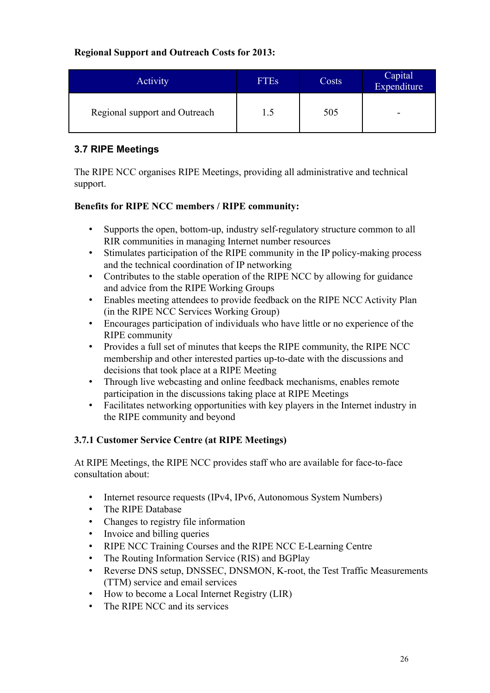### **Regional Support and Outreach Costs for 2013:**

| Activity                      | <b>FTEs</b> | Costs | Capital<br>Expenditure |
|-------------------------------|-------------|-------|------------------------|
| Regional support and Outreach | 1.5         | 505   | -                      |

## <span id="page-25-0"></span>**3.7 RIPE Meetings**

The RIPE NCC organises RIPE Meetings, providing all administrative and technical support.

## **Benefits for RIPE NCC members / RIPE community:**

- Supports the open, bottom-up, industry self-regulatory structure common to all RIR communities in managing Internet number resources
- Stimulates participation of the RIPE community in the IP policy-making process and the technical coordination of IP networking
- Contributes to the stable operation of the RIPE NCC by allowing for guidance and advice from the RIPE Working Groups
- Enables meeting attendees to provide feedback on the RIPE NCC Activity Plan (in the RIPE NCC Services Working Group)
- Encourages participation of individuals who have little or no experience of the RIPE community
- Provides a full set of minutes that keeps the RIPE community, the RIPE NCC membership and other interested parties up-to-date with the discussions and decisions that took place at a RIPE Meeting
- Through live webcasting and online feedback mechanisms, enables remote participation in the discussions taking place at RIPE Meetings
- Facilitates networking opportunities with key players in the Internet industry in the RIPE community and beyond

## **3.7.1 Customer Service Centre (at RIPE Meetings)**

At RIPE Meetings, the RIPE NCC provides staff who are available for face-to-face consultation about:

- Internet resource requests (IPv4, IPv6, Autonomous System Numbers)
- The RIPE Database
- Changes to registry file information
- Invoice and billing queries
- RIPE NCC Training Courses and the RIPE NCC E-Learning Centre
- The Routing Information Service (RIS) and BGPlay
- Reverse DNS setup, DNSSEC, DNSMON, K-root, the Test Traffic Measurements (TTM) service and email services
- How to become a Local Internet Registry (LIR)
- The RIPE NCC and its services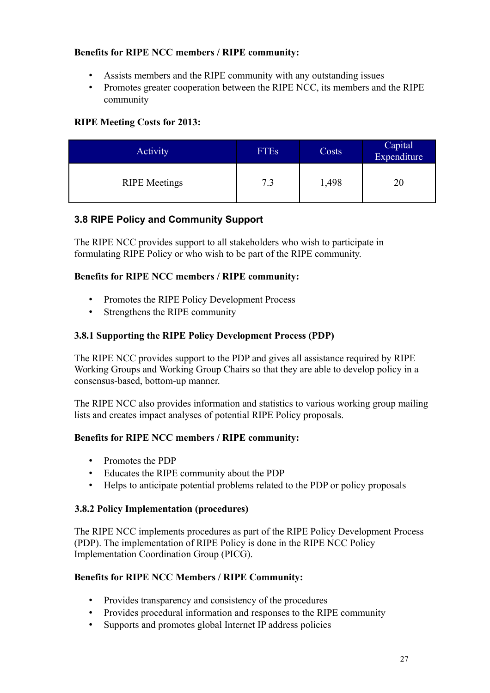### **Benefits for RIPE NCC members / RIPE community:**

- Assists members and the RIPE community with any outstanding issues
- Promotes greater cooperation between the RIPE NCC, its members and the RIPE community

## **RIPE Meeting Costs for 2013:**

| Activity             | <b>FTEs</b> | Costs | Capital<br>Expenditure |
|----------------------|-------------|-------|------------------------|
| <b>RIPE</b> Meetings | 7.3         | 1,498 |                        |

## <span id="page-26-0"></span>**3.8 RIPE Policy and Community Support**

The RIPE NCC provides support to all stakeholders who wish to participate in formulating RIPE Policy or who wish to be part of the RIPE community.

### **Benefits for RIPE NCC members / RIPE community:**

- Promotes the RIPE Policy Development Process
- Strengthens the RIPE community

### **3.8.1 Supporting the RIPE Policy Development Process (PDP)**

The RIPE NCC provides support to the PDP and gives all assistance required by RIPE Working Groups and Working Group Chairs so that they are able to develop policy in a consensus-based, bottom-up manner.

The RIPE NCC also provides information and statistics to various working group mailing lists and creates impact analyses of potential RIPE Policy proposals.

### **Benefits for RIPE NCC members / RIPE community:**

- Promotes the PDP
- Educates the RIPE community about the PDP
- Helps to anticipate potential problems related to the PDP or policy proposals

### **3.8.2 Policy Implementation (procedures)**

The RIPE NCC implements procedures as part of the RIPE Policy Development Process (PDP). The implementation of RIPE Policy is done in the RIPE NCC Policy Implementation Coordination Group (PICG).

- Provides transparency and consistency of the procedures
- Provides procedural information and responses to the RIPE community
- Supports and promotes global Internet IP address policies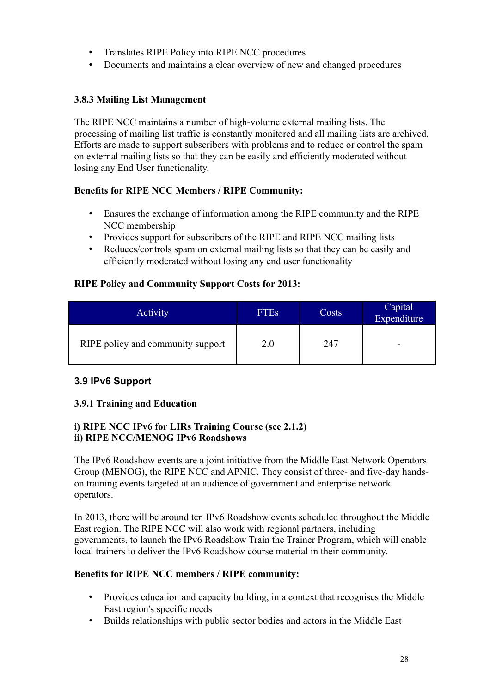- Translates RIPE Policy into RIPE NCC procedures
- Documents and maintains a clear overview of new and changed procedures

### **3.8.3 Mailing List Management**

The RIPE NCC maintains a number of high-volume external mailing lists. The processing of mailing list traffic is constantly monitored and all mailing lists are archived. Efforts are made to support subscribers with problems and to reduce or control the spam on external mailing lists so that they can be easily and efficiently moderated without losing any End User functionality.

### **Benefits for RIPE NCC Members / RIPE Community:**

- Ensures the exchange of information among the RIPE community and the RIPE NCC membership
- Provides support for subscribers of the RIPE and RIPE NCC mailing lists
- Reduces/controls spam on external mailing lists so that they can be easily and efficiently moderated without losing any end user functionality

### **RIPE Policy and Community Support Costs for 2013:**

| <b>Activity</b>                   | <b>FTEs</b> | Costs | Capital<br>Expenditure |
|-----------------------------------|-------------|-------|------------------------|
| RIPE policy and community support | 2.0         | 247   | -                      |

## <span id="page-27-0"></span>**3.9 IPv6 Support**

### **3.9.1 Training and Education**

### **i) RIPE NCC IPv6 for LIRs Training Course (see 2.1.2) ii) RIPE NCC/MENOG IPv6 Roadshows**

The IPv6 Roadshow events are a joint initiative from the Middle East Network Operators Group (MENOG), the RIPE NCC and APNIC. They consist of three- and five-day handson training events targeted at an audience of government and enterprise network operators.

In 2013, there will be around ten IPv6 Roadshow events scheduled throughout the Middle East region. The RIPE NCC will also work with regional partners, including governments, to launch the IPv6 Roadshow Train the Trainer Program, which will enable local trainers to deliver the IPv6 Roadshow course material in their community.

- Provides education and capacity building, in a context that recognises the Middle East region's specific needs
- Builds relationships with public sector bodies and actors in the Middle East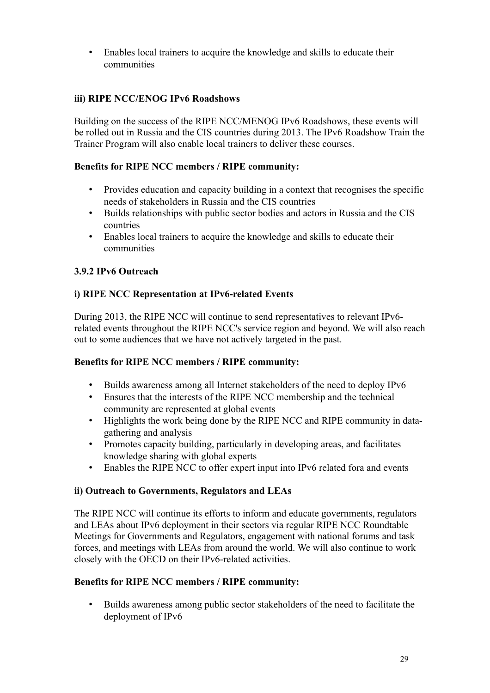• Enables local trainers to acquire the knowledge and skills to educate their communities

### **iii) RIPE NCC/ENOG IPv6 Roadshows**

Building on the success of the RIPE NCC/MENOG IPv6 Roadshows, these events will be rolled out in Russia and the CIS countries during 2013. The IPv6 Roadshow Train the Trainer Program will also enable local trainers to deliver these courses.

### **Benefits for RIPE NCC members / RIPE community:**

- Provides education and capacity building in a context that recognises the specific needs of stakeholders in Russia and the CIS countries
- Builds relationships with public sector bodies and actors in Russia and the CIS countries
- Enables local trainers to acquire the knowledge and skills to educate their communities

### **3.9.2 IPv6 Outreach**

### **i) RIPE NCC Representation at IPv6-related Events**

During 2013, the RIPE NCC will continue to send representatives to relevant IPv6 related events throughout the RIPE NCC's service region and beyond. We will also reach out to some audiences that we have not actively targeted in the past.

### **Benefits for RIPE NCC members / RIPE community:**

- Builds awareness among all Internet stakeholders of the need to deploy IPv6
- Ensures that the interests of the RIPE NCC membership and the technical community are represented at global events
- Highlights the work being done by the RIPE NCC and RIPE community in datagathering and analysis
- Promotes capacity building, particularly in developing areas, and facilitates knowledge sharing with global experts
- Enables the RIPE NCC to offer expert input into IPv6 related fora and events

### **ii) Outreach to Governments, Regulators and LEAs**

The RIPE NCC will continue its efforts to inform and educate governments, regulators and LEAs about IPv6 deployment in their sectors via regular RIPE NCC Roundtable Meetings for Governments and Regulators, engagement with national forums and task forces, and meetings with LEAs from around the world. We will also continue to work closely with the OECD on their IPv6-related activities.

### **Benefits for RIPE NCC members / RIPE community:**

• Builds awareness among public sector stakeholders of the need to facilitate the deployment of IPv6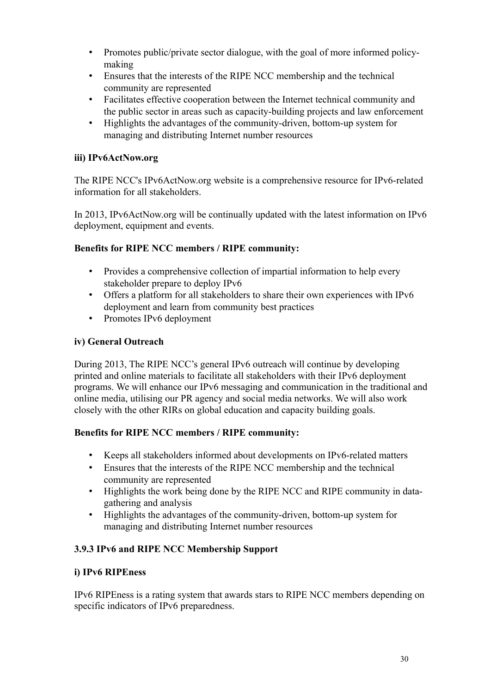- Promotes public/private sector dialogue, with the goal of more informed policymaking
- Ensures that the interests of the RIPE NCC membership and the technical community are represented
- Facilitates effective cooperation between the Internet technical community and the public sector in areas such as capacity-building projects and law enforcement
- Highlights the advantages of the community-driven, bottom-up system for managing and distributing Internet number resources

### **iii) IPv6ActNow.org**

The RIPE NCC's IPv6ActNow.org website is a comprehensive resource for IPv6-related information for all stakeholders.

In 2013, IPv6ActNow.org will be continually updated with the latest information on IPv6 deployment, equipment and events.

### **Benefits for RIPE NCC members / RIPE community:**

- Provides a comprehensive collection of impartial information to help every stakeholder prepare to deploy IPv6
- Offers a platform for all stakeholders to share their own experiences with IPv6 deployment and learn from community best practices
- Promotes IPv6 deployment

### **iv) General Outreach**

During 2013, The RIPE NCC's general IPv6 outreach will continue by developing printed and online materials to facilitate all stakeholders with their IPv6 deployment programs. We will enhance our IPv6 messaging and communication in the traditional and online media, utilising our PR agency and social media networks. We will also work closely with the other RIRs on global education and capacity building goals.

### **Benefits for RIPE NCC members / RIPE community:**

- Keeps all stakeholders informed about developments on IPv6-related matters
- Ensures that the interests of the RIPE NCC membership and the technical community are represented
- Highlights the work being done by the RIPE NCC and RIPE community in datagathering and analysis
- Highlights the advantages of the community-driven, bottom-up system for managing and distributing Internet number resources

## **3.9.3 IPv6 and RIPE NCC Membership Support**

### **i) IPv6 RIPEness**

IPv6 RIPEness is a rating system that awards stars to RIPE NCC members depending on specific indicators of IPv6 preparedness.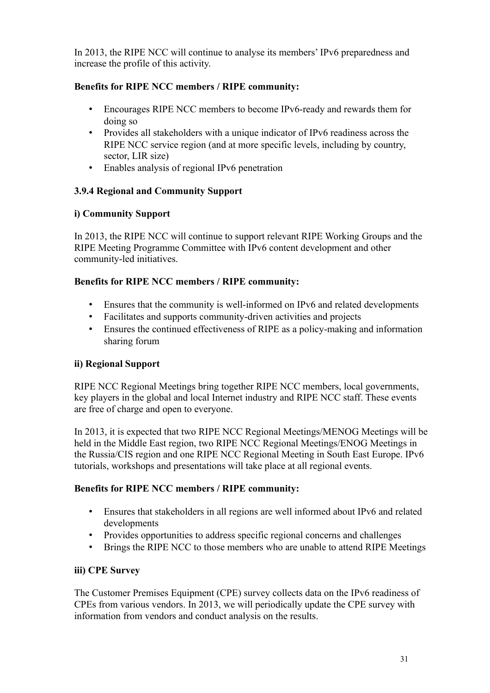In 2013, the RIPE NCC will continue to analyse its members' IPv6 preparedness and increase the profile of this activity.

## **Benefits for RIPE NCC members / RIPE community:**

- Encourages RIPE NCC members to become IPv6-ready and rewards them for doing so
- Provides all stakeholders with a unique indicator of IPv6 readiness across the RIPE NCC service region (and at more specific levels, including by country, sector, LIR size)
- Enables analysis of regional IPv6 penetration

### **3.9.4 Regional and Community Support**

### **i) Community Support**

In 2013, the RIPE NCC will continue to support relevant RIPE Working Groups and the RIPE Meeting Programme Committee with IPv6 content development and other community-led initiatives.

### **Benefits for RIPE NCC members / RIPE community:**

- Ensures that the community is well-informed on IPv6 and related developments
- Facilitates and supports community-driven activities and projects
- Ensures the continued effectiveness of RIPE as a policy-making and information sharing forum

## **ii) Regional Support**

RIPE NCC Regional Meetings bring together RIPE NCC members, local governments, key players in the global and local Internet industry and RIPE NCC staff. These events are free of charge and open to everyone.

In 2013, it is expected that two RIPE NCC Regional Meetings/MENOG Meetings will be held in the Middle East region, two RIPE NCC Regional Meetings/ENOG Meetings in the Russia/CIS region and one RIPE NCC Regional Meeting in South East Europe. IPv6 tutorials, workshops and presentations will take place at all regional events.

### **Benefits for RIPE NCC members / RIPE community:**

- Ensures that stakeholders in all regions are well informed about IPv6 and related developments
- Provides opportunities to address specific regional concerns and challenges
- Brings the RIPE NCC to those members who are unable to attend RIPE Meetings

### **iii) CPE Survey**

The Customer Premises Equipment (CPE) survey collects data on the IPv6 readiness of CPEs from various vendors. In 2013, we will periodically update the CPE survey with information from vendors and conduct analysis on the results.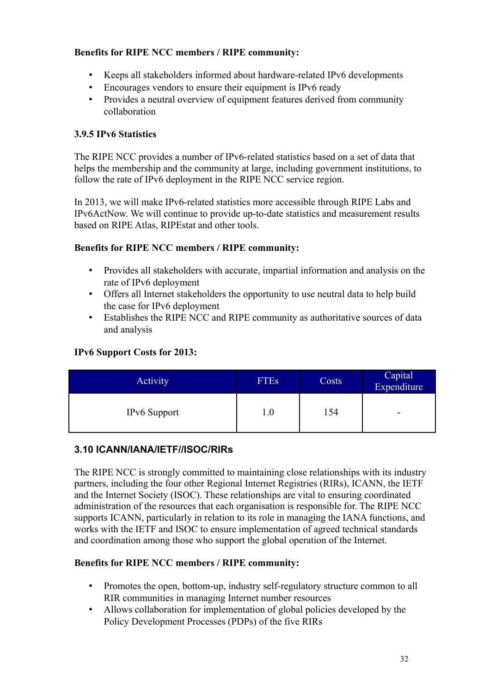### **Benefits for RIPE NCC members / RIPE community:**

- Keeps all stakeholders informed about hardware-related IPv6 developments
- Encourages vendors to ensure their equipment is IPv6 ready
- Provides a neutral overview of equipment features derived from community collaboration

### **3.9.5 IPv6 Statistics**

The RIPE NCC provides a number of IPv6-related statistics based on a set of data that helps the membership and the community at large, including government institutions, to follow the rate of IPv6 deployment in the RIPE NCC service region.

In 2013, we will make IPv6-related statistics more accessible through RIPE Labs and IPv6ActNow. We will continue to provide up-to-date statistics and measurement results based on RIPE Atlas, RIPEstat and other tools.

### **Benefits for RIPE NCC members / RIPE community:**

- Provides all stakeholders with accurate, impartial information and analysis on the rate of IPv6 deployment
- Offers all Internet stakeholders the opportunity to use neutral data to help build the case for IPv6 deployment
- Establishes the RIPE NCC and RIPE community as authoritative sources of data and analysis

### **IPv6 Support Costs for 2013:**

| Activity            | <b>FTEs</b> | Costs | Capital<br>Expenditure |
|---------------------|-------------|-------|------------------------|
| <b>IPv6</b> Support | 1.0         | 154   | -                      |

## **3.10 ICANN/IANA/IETF//ISOC/RIRs**

The RIPE NCC is strongly committed to maintaining close relationships with its industry partners, including the four other Regional Internet Registries (RIRs), ICANN, the IETF and the Internet Society (ISOC). These relationships are vital to ensuring coordinated administration of the resources that each organisation is responsible for. The RIPE NCC supports ICANN, particularly in relation to its role in managing the IANA functions, and works with the IETF and ISOC to ensure implementation of agreed technical standards and coordination among those who support the global operation of the Internet.

- Promotes the open, bottom-up, industry self-regulatory structure common to all RIR communities in managing Internet number resources
- Allows collaboration for implementation of global policies developed by the Policy Development Processes (PDPs) of the five RIRs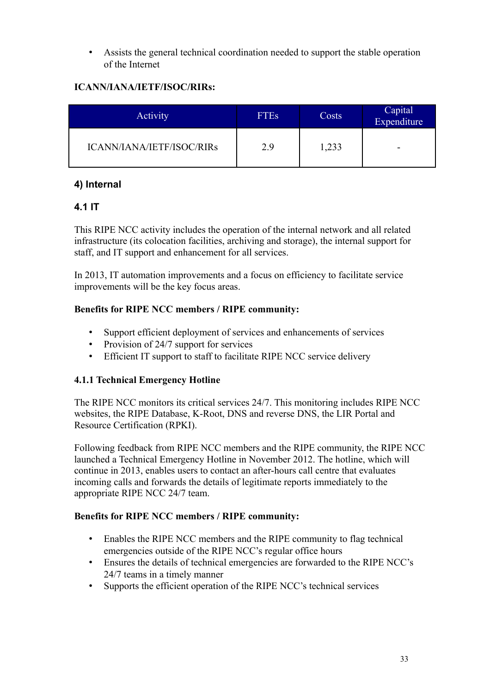• Assists the general technical coordination needed to support the stable operation of the Internet

## **ICANN/IANA/IETF/ISOC/RIRs:**

| <b>Activity</b>           | <b>FTEs</b> | Costs | Capital <sup>1</sup><br>Expenditure |
|---------------------------|-------------|-------|-------------------------------------|
| ICANN/IANA/IETF/ISOC/RIRs | 2.9         | 1,233 | -                                   |

## <span id="page-32-1"></span>**4) Internal**

## <span id="page-32-0"></span>**4.1 IT**

This RIPE NCC activity includes the operation of the internal network and all related infrastructure (its colocation facilities, archiving and storage), the internal support for staff, and IT support and enhancement for all services.

In 2013, IT automation improvements and a focus on efficiency to facilitate service improvements will be the key focus areas.

### **Benefits for RIPE NCC members / RIPE community:**

- Support efficient deployment of services and enhancements of services
- Provision of 24/7 support for services
- Efficient IT support to staff to facilitate RIPE NCC service delivery

## **4.1.1 Technical Emergency Hotline**

The RIPE NCC monitors its critical services 24/7. This monitoring includes RIPE NCC websites, the RIPE Database, K-Root, DNS and reverse DNS, the LIR Portal and Resource Certification (RPKI).

Following feedback from RIPE NCC members and the RIPE community, the RIPE NCC launched a Technical Emergency Hotline in November 2012. The hotline, which will continue in 2013, enables users to contact an after-hours call centre that evaluates incoming calls and forwards the details of legitimate reports immediately to the appropriate RIPE NCC 24/7 team.

- Enables the RIPE NCC members and the RIPE community to flag technical emergencies outside of the RIPE NCC's regular office hours
- Ensures the details of technical emergencies are forwarded to the RIPE NCC's 24/7 teams in a timely manner
- Supports the efficient operation of the RIPE NCC's technical services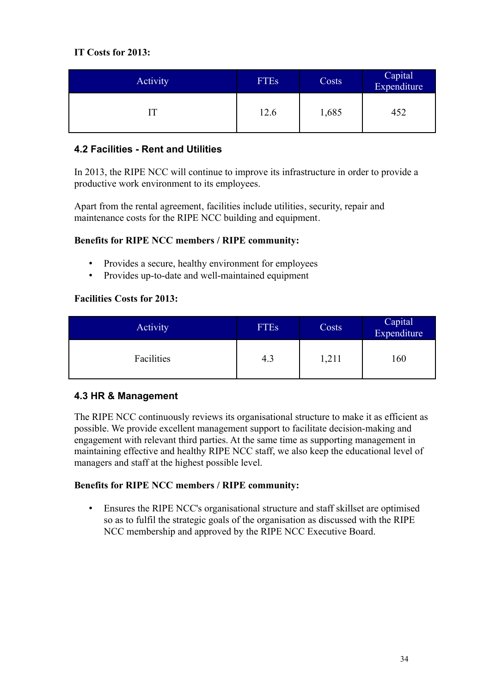## **IT Costs for 2013:**

| <b>Activity</b> | FTEs | Costs | Capital<br>Expenditure |
|-----------------|------|-------|------------------------|
|                 | 12.6 | 1,685 | 452                    |

## <span id="page-33-1"></span>**4.2 Facilities - Rent and Utilities**

In 2013, the RIPE NCC will continue to improve its infrastructure in order to provide a productive work environment to its employees.

Apart from the rental agreement, facilities include utilities, security, repair and maintenance costs for the RIPE NCC building and equipment.

### **Benefits for RIPE NCC members / RIPE community:**

- Provides a secure, healthy environment for employees
- Provides up-to-date and well-maintained equipment

### **Facilities Costs for 2013:**

| Activity   | <b>FTEs</b> | Costs | Capital<br>Expenditure |
|------------|-------------|-------|------------------------|
| Facilities | 4.3         | 1,211 | .60                    |

## <span id="page-33-0"></span>**4.3 HR & Management**

The RIPE NCC continuously reviews its organisational structure to make it as efficient as possible. We provide excellent management support to facilitate decision-making and engagement with relevant third parties. At the same time as supporting management in maintaining effective and healthy RIPE NCC staff, we also keep the educational level of managers and staff at the highest possible level.

### **Benefits for RIPE NCC members / RIPE community:**

• Ensures the RIPE NCC's organisational structure and staff skillset are optimised so as to fulfil the strategic goals of the organisation as discussed with the RIPE NCC membership and approved by the RIPE NCC Executive Board.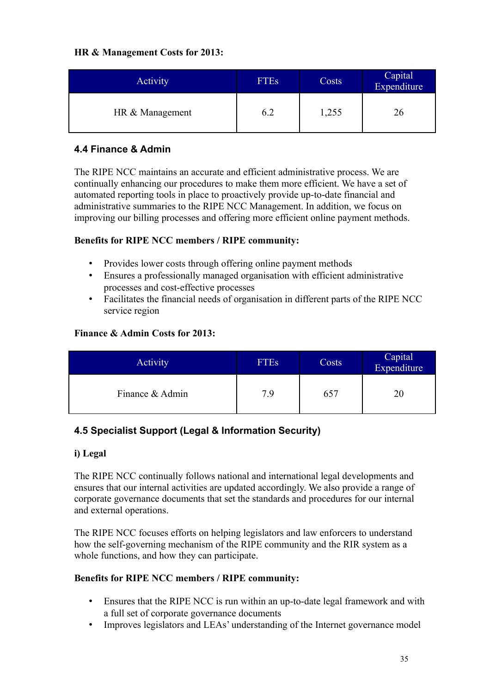### **HR & Management Costs for 2013:**

| <b>Activity</b> | <b>FTEs</b> | Costs | Capital<br>Expenditure |
|-----------------|-------------|-------|------------------------|
| HR & Management | 6.2         | ,255  | 26                     |

## <span id="page-34-1"></span>**4.4 Finance & Admin**

The RIPE NCC maintains an accurate and efficient administrative process. We are continually enhancing our procedures to make them more efficient. We have a set of automated reporting tools in place to proactively provide up-to-date financial and administrative summaries to the RIPE NCC Management. In addition, we focus on improving our billing processes and offering more efficient online payment methods.

### **Benefits for RIPE NCC members / RIPE community:**

- Provides lower costs through offering online payment methods
- Ensures a professionally managed organisation with efficient administrative processes and cost-effective processes
- Facilitates the financial needs of organisation in different parts of the RIPE NCC service region

### **Finance & Admin Costs for 2013:**

| Activity        | <b>FTEs</b> | Costs | Capital<br>Expenditure |
|-----------------|-------------|-------|------------------------|
| Finance & Admin | 7.9         | 657   |                        |

## <span id="page-34-0"></span>**4.5 Specialist Support (Legal & Information Security)**

### **i) Legal**

The RIPE NCC continually follows national and international legal developments and ensures that our internal activities are updated accordingly. We also provide a range of corporate governance documents that set the standards and procedures for our internal and external operations.

The RIPE NCC focuses efforts on helping legislators and law enforcers to understand how the self-governing mechanism of the RIPE community and the RIR system as a whole functions, and how they can participate.

- Ensures that the RIPE NCC is run within an up-to-date legal framework and with a full set of corporate governance documents
- Improves legislators and LEAs' understanding of the Internet governance model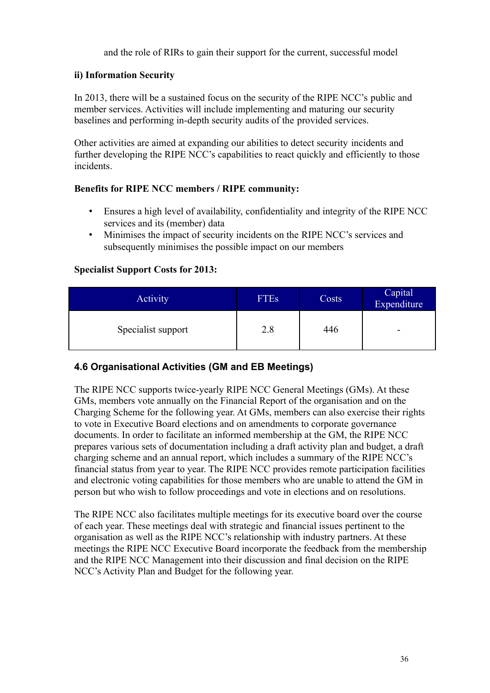and the role of RIRs to gain their support for the current, successful model

### **ii) Information Security**

In 2013, there will be a sustained focus on the security of the RIPE NCC's public and member services. Activities will include implementing and maturing our security baselines and performing in-depth security audits of the provided services.

Other activities are aimed at expanding our abilities to detect security incidents and further developing the RIPE NCC's capabilities to react quickly and efficiently to those incidents.

### **Benefits for RIPE NCC members / RIPE community:**

- Ensures a high level of availability, confidentiality and integrity of the RIPE NCC services and its (member) data
- Minimises the impact of security incidents on the RIPE NCC's services and subsequently minimises the possible impact on our members

### **Specialist Support Costs for 2013:**

| <b>Activity</b>    | <b>FTEs</b> | Costs | Capital<br>Expenditure |
|--------------------|-------------|-------|------------------------|
| Specialist support | 2.8         | 446   | -                      |

## <span id="page-35-0"></span>**4.6 Organisational Activities (GM and EB Meetings)**

The RIPE NCC supports twice-yearly RIPE NCC General Meetings (GMs). At these GMs, members vote annually on the Financial Report of the organisation and on the Charging Scheme for the following year. At GMs, members can also exercise their rights to vote in Executive Board elections and on amendments to corporate governance documents. In order to facilitate an informed membership at the GM, the RIPE NCC prepares various sets of documentation including a draft activity plan and budget, a draft charging scheme and an annual report, which includes a summary of the RIPE NCC's financial status from year to year. The RIPE NCC provides remote participation facilities and electronic voting capabilities for those members who are unable to attend the GM in person but who wish to follow proceedings and vote in elections and on resolutions.

The RIPE NCC also facilitates multiple meetings for its executive board over the course of each year. These meetings deal with strategic and financial issues pertinent to the organisation as well as the RIPE NCC's relationship with industry partners. At these meetings the RIPE NCC Executive Board incorporate the feedback from the membership and the RIPE NCC Management into their discussion and final decision on the RIPE NCC's Activity Plan and Budget for the following year.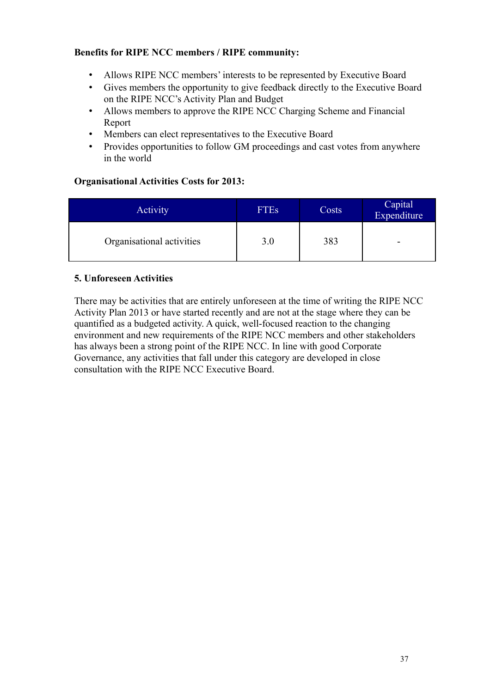### **Benefits for RIPE NCC members / RIPE community:**

- Allows RIPE NCC members' interests to be represented by Executive Board
- Gives members the opportunity to give feedback directly to the Executive Board on the RIPE NCC's Activity Plan and Budget
- Allows members to approve the RIPE NCC Charging Scheme and Financial Report
- Members can elect representatives to the Executive Board
- Provides opportunities to follow GM proceedings and cast votes from anywhere in the world

### **Organisational Activities Costs for 2013:**

| <b>Activity</b>           | <b>FTEs</b> | Costs | Capital<br>Expenditure |
|---------------------------|-------------|-------|------------------------|
| Organisational activities | 3.0         | 383   | -                      |

### **5. Unforeseen Activities**

There may be activities that are entirely unforeseen at the time of writing the RIPE NCC Activity Plan 2013 or have started recently and are not at the stage where they can be quantified as a budgeted activity. A quick, well-focused reaction to the changing environment and new requirements of the RIPE NCC members and other stakeholders has always been a strong point of the RIPE NCC. In line with good Corporate Governance, any activities that fall under this category are developed in close consultation with the RIPE NCC Executive Board.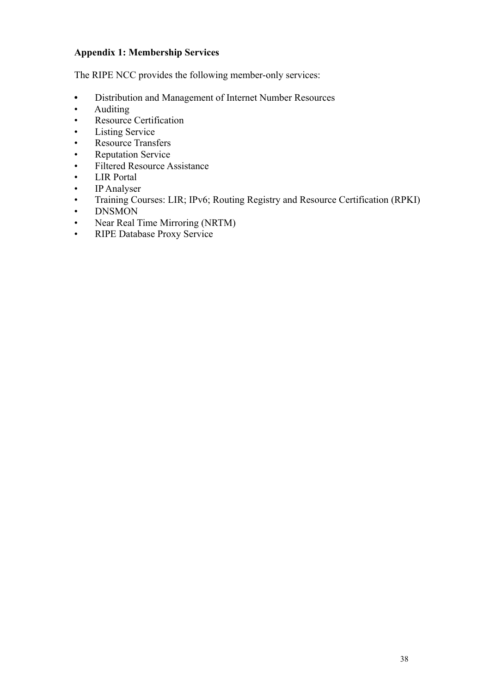## **Appendix 1: Membership Services**

The RIPE NCC provides the following member-only services:

- Distribution and Management of Internet Number Resources
- Auditing
- Resource Certification
- Listing Service
- Resource Transfers
- Reputation Service
- Filtered Resource Assistance
- LIR Portal
- IP Analyser
- Training Courses: LIR; IPv6; Routing Registry and Resource Certification (RPKI)
- DNSMON
- Near Real Time Mirroring (NRTM)
- RIPE Database Proxy Service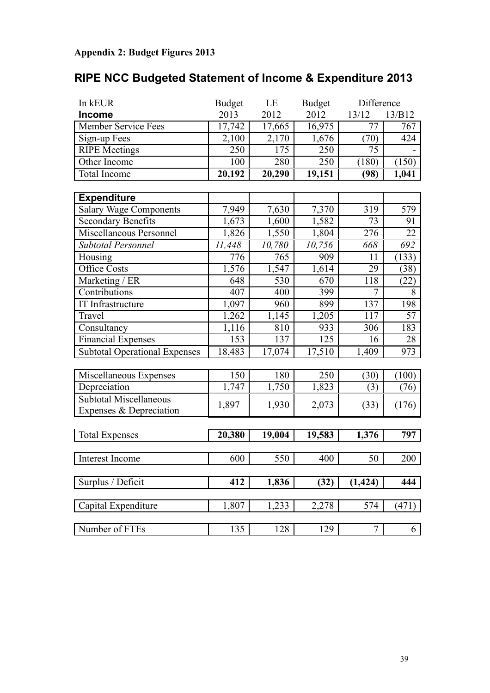# **Appendix 2: Budget Figures 2013**

| RIPE NCC Budgeted Statement of Income & Expenditure 2013 |  |  |
|----------------------------------------------------------|--|--|
|----------------------------------------------------------|--|--|

| In kEUR                              | <b>Budget</b> | LE     | <b>Budget</b> | Difference |        |
|--------------------------------------|---------------|--------|---------------|------------|--------|
| <b>Income</b>                        | 2013          | 2012   | 2012          | 13/12      | 13/B12 |
| <b>Member Service Fees</b>           | 17,742        | 17,665 | 16,975        | 77         | 767    |
| Sign-up Fees                         | 2,100         | 2,170  | 1,676         | (70)       | 424    |
| <b>RIPE Meetings</b>                 | 250           | 175    | 250           | 75         |        |
| Other Income                         | 100           | 280    | 250           | (180)      | (150)  |
| Total Income                         | 20,192        | 20,290 | 19,151        | (98)       | 1,041  |
|                                      |               |        |               |            |        |
| <b>Expenditure</b>                   |               |        |               |            |        |
| <b>Salary Wage Components</b>        | 7,949         | 7,630  | 7,370         | 319        | 579    |
| <b>Secondary Benefits</b>            | 1,673         | 1,600  | 1,582         | 73         | 91     |
| Miscellaneous Personnel              | 1,826         | 1,550  | 1,804         | 276        | 22     |
| <b>Subtotal Personnel</b>            | 11,448        | 10,780 | 10,756        | 668        | 692    |
| Housing                              | 776           | 765    | 909           | 11         | (133)  |
| <b>Office Costs</b>                  | 1,576         | 1,547  | 1,614         | 29         | (38)   |
| Marketing / ER                       | 648           | 530    | 670           | 118        | (22)   |
| Contributions                        | 407           | 400    | 399           | 7          | 8      |
| IT Infrastructure                    | 1,097         | 960    | 899           | 137        | 198    |
| Travel                               | 1,262         | 1,145  | 1,205         | 117        | 57     |
| Consultancy                          | 1,116         | 810    | 933           | 306        | 183    |
| <b>Financial Expenses</b>            | 153           | 137    | 125           | 16         | 28     |
| <b>Subtotal Operational Expenses</b> | 18,483        | 17,074 | 17,510        | 1,409      | 973    |
|                                      |               |        |               |            |        |
| Miscellaneous Expenses               | 150           | 180    | 250           | (30)       | (100)  |
| Depreciation                         | 1,747         | 1,750  | 1,823         | (3)        | (76)   |
| <b>Subtotal Miscellaneous</b>        | 1,897         | 1,930  | 2,073         |            | (176)  |
| Expenses & Depreciation              |               |        |               | (33)       |        |
|                                      |               |        |               |            |        |
| <b>Total Expenses</b>                | 20,380        | 19,004 | 19,583        | 1,376      | 797    |
|                                      |               |        |               |            |        |
| Interest Income                      | 600           | 550    | 400           | 50         | 200    |
|                                      |               |        |               |            |        |
| Surplus / Deficit                    | 412           | 1,836  | (32)          | (1, 424)   | 444    |
| Capital Expenditure                  | 1,807         | 1,233  | 2,278         | 574        | (471)  |
|                                      |               |        |               |            |        |
| Number of FTEs                       | 135           | 128    | 129           | 7          | 6      |